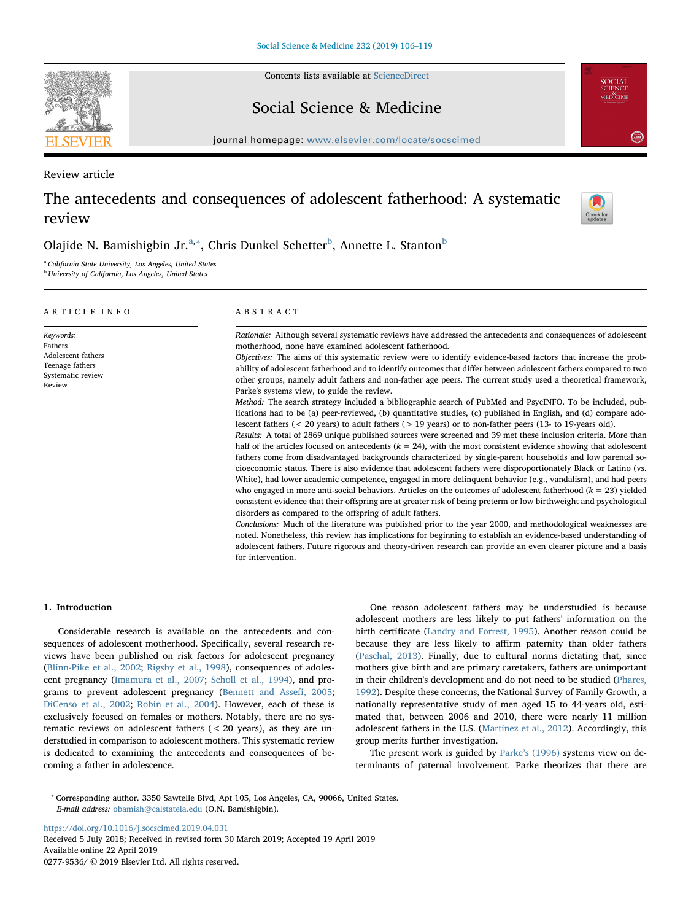Contents lists available at [ScienceDirect](http://www.sciencedirect.com/science/journal/02779536)

Social Science & Medicine

journal homepage: [www.elsevier.com/locate/socscimed](https://www.elsevier.com/locate/socscimed)

Review article

# The antecedents and consequences of adolescent fatherhood: A systematic review



**SOCIAL**<br>SCIENCE<br>MEDICINE

## Olajide N. Bamishig[b](#page-0-2)in Jr.ª,\*, Chris Dunkel Schetter<sup>b</sup>, Annette L. Stanton<sup>b</sup>

<span id="page-0-0"></span><sup>a</sup> California State University, Los Angeles, United States

<span id="page-0-2"></span><sup>b</sup> University of California, Los Angeles, United States

| ARTICLE INFO                                                                                 | ABSTRACT                                                                                                                                                                                                                                                                                                                                                                                                                                                                                                                                                                                                                                                                                                                                                                                                                                                                                                                                                                                                                                                                                                                                                                                                                                                                                                                                                                                                                                                                                                                                                                                                                                                                                                                                                                                                                                                                                                                                                                                                                                                                                                                                                                                          |  |  |
|----------------------------------------------------------------------------------------------|---------------------------------------------------------------------------------------------------------------------------------------------------------------------------------------------------------------------------------------------------------------------------------------------------------------------------------------------------------------------------------------------------------------------------------------------------------------------------------------------------------------------------------------------------------------------------------------------------------------------------------------------------------------------------------------------------------------------------------------------------------------------------------------------------------------------------------------------------------------------------------------------------------------------------------------------------------------------------------------------------------------------------------------------------------------------------------------------------------------------------------------------------------------------------------------------------------------------------------------------------------------------------------------------------------------------------------------------------------------------------------------------------------------------------------------------------------------------------------------------------------------------------------------------------------------------------------------------------------------------------------------------------------------------------------------------------------------------------------------------------------------------------------------------------------------------------------------------------------------------------------------------------------------------------------------------------------------------------------------------------------------------------------------------------------------------------------------------------------------------------------------------------------------------------------------------------|--|--|
| Keywords:<br>Fathers<br>Adolescent fathers<br>Teenage fathers<br>Systematic review<br>Review | Rationale: Although several systematic reviews have addressed the antecedents and consequences of adolescent<br>motherhood, none have examined adolescent fatherhood.<br>Objectives: The aims of this systematic review were to identify evidence-based factors that increase the prob-<br>ability of adolescent fatherhood and to identify outcomes that differ between adolescent fathers compared to two<br>other groups, namely adult fathers and non-father age peers. The current study used a theoretical framework,<br>Parke's systems view, to guide the review.<br>Method: The search strategy included a bibliographic search of PubMed and PsycINFO. To be included, pub-<br>lications had to be (a) peer-reviewed, (b) quantitative studies, (c) published in English, and (d) compare ado-<br>lescent fathers ( $\lt$ 20 years) to adult fathers ( $>$ 19 years) or to non-father peers (13- to 19-years old).<br>Results: A total of 2869 unique published sources were screened and 39 met these inclusion criteria. More than<br>half of the articles focused on antecedents $(k = 24)$ , with the most consistent evidence showing that adolescent<br>fathers come from disadvantaged backgrounds characterized by single-parent households and low parental so-<br>cioeconomic status. There is also evidence that adolescent fathers were disproportionately Black or Latino (vs.<br>White), had lower academic competence, engaged in more delinquent behavior (e.g., vandalism), and had peers<br>who engaged in more anti-social behaviors. Articles on the outcomes of adolescent fatherhood $(k = 23)$ yielded<br>consistent evidence that their offspring are at greater risk of being preterm or low birthweight and psychological<br>disorders as compared to the offspring of adult fathers.<br>Conclusions: Much of the literature was published prior to the year 2000, and methodological weaknesses are<br>noted. Nonetheless, this review has implications for beginning to establish an evidence-based understanding of<br>adolescent fathers. Future rigorous and theory-driven research can provide an even clearer picture and a basis<br>for intervention. |  |  |

## 1. Introduction

Considerable research is available on the antecedents and consequences of adolescent motherhood. Specifically, several research reviews have been published on risk factors for adolescent pregnancy ([Blinn-Pike et al., 2002](#page-12-0); [Rigsby et al., 1998\)](#page-13-0), consequences of adolescent pregnancy ([Imamura et al., 2007](#page-13-1); [Scholl et al., 1994](#page-13-2)), and programs to prevent adolescent pregnancy ([Bennett and Asse](#page-12-1)fi, 2005; [DiCenso et al., 2002](#page-12-2); [Robin et al., 2004\)](#page-13-3). However, each of these is exclusively focused on females or mothers. Notably, there are no systematic reviews on adolescent fathers  $( $20$  years), as they are un$ derstudied in comparison to adolescent mothers. This systematic review is dedicated to examining the antecedents and consequences of becoming a father in adolescence.

One reason adolescent fathers may be understudied is because adolescent mothers are less likely to put fathers' information on the birth certificate [\(Landry and Forrest, 1995](#page-13-4)). Another reason could be because they are less likely to affirm paternity than older fathers ([Paschal, 2013](#page-13-5)). Finally, due to cultural norms dictating that, since mothers give birth and are primary caretakers, fathers are unimportant in their children's development and do not need to be studied ([Phares,](#page-13-6) [1992\)](#page-13-6). Despite these concerns, the National Survey of Family Growth, a nationally representative study of men aged 15 to 44-years old, estimated that, between 2006 and 2010, there were nearly 11 million adolescent fathers in the U.S. ([Martinez et al., 2012\)](#page-13-7). Accordingly, this group merits further investigation.

The present work is guided by Parke'[s \(1996\)](#page-13-8) systems view on determinants of paternal involvement. Parke theorizes that there are

<https://doi.org/10.1016/j.socscimed.2019.04.031>

<span id="page-0-1"></span><sup>∗</sup> Corresponding author. 3350 Sawtelle Blvd, Apt 105, Los Angeles, CA, 90066, United States. E-mail address: [obamish@calstatela.edu](mailto:obamish@calstatela.edu) (O.N. Bamishigbin).

Received 5 July 2018; Received in revised form 30 March 2019; Accepted 19 April 2019 Available online 22 April 2019 0277-9536/ © 2019 Elsevier Ltd. All rights reserved.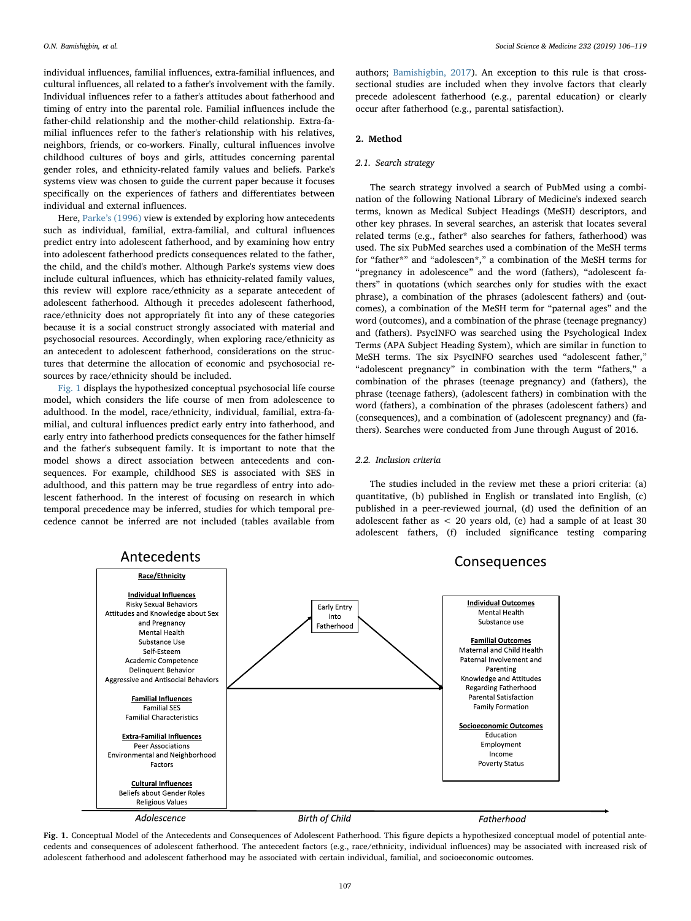individual influences, familial influences, extra-familial influences, and cultural influences, all related to a father's involvement with the family. Individual influences refer to a father's attitudes about fatherhood and timing of entry into the parental role. Familial influences include the father-child relationship and the mother-child relationship. Extra-familial influences refer to the father's relationship with his relatives, neighbors, friends, or co-workers. Finally, cultural influences involve childhood cultures of boys and girls, attitudes concerning parental gender roles, and ethnicity-related family values and beliefs. Parke's systems view was chosen to guide the current paper because it focuses specifically on the experiences of fathers and differentiates between individual and external influences.

Here, Parke'[s \(1996\)](#page-13-8) view is extended by exploring how antecedents such as individual, familial, extra-familial, and cultural influences predict entry into adolescent fatherhood, and by examining how entry into adolescent fatherhood predicts consequences related to the father, the child, and the child's mother. Although Parke's systems view does include cultural influences, which has ethnicity-related family values, this review will explore race/ethnicity as a separate antecedent of adolescent fatherhood. Although it precedes adolescent fatherhood, race/ethnicity does not appropriately fit into any of these categories because it is a social construct strongly associated with material and psychosocial resources. Accordingly, when exploring race/ethnicity as an antecedent to adolescent fatherhood, considerations on the structures that determine the allocation of economic and psychosocial resources by race/ethnicity should be included.

[Fig. 1](#page-1-0) displays the hypothesized conceptual psychosocial life course model, which considers the life course of men from adolescence to adulthood. In the model, race/ethnicity, individual, familial, extra-familial, and cultural influences predict early entry into fatherhood, and early entry into fatherhood predicts consequences for the father himself and the father's subsequent family. It is important to note that the model shows a direct association between antecedents and consequences. For example, childhood SES is associated with SES in adulthood, and this pattern may be true regardless of entry into adolescent fatherhood. In the interest of focusing on research in which temporal precedence may be inferred, studies for which temporal precedence cannot be inferred are not included (tables available from

authors; [Bamishigbin, 2017](#page-12-3)). An exception to this rule is that crosssectional studies are included when they involve factors that clearly precede adolescent fatherhood (e.g., parental education) or clearly occur after fatherhood (e.g., parental satisfaction).

#### 2. Method

## 2.1. Search strategy

The search strategy involved a search of PubMed using a combination of the following National Library of Medicine's indexed search terms, known as Medical Subject Headings (MeSH) descriptors, and other key phrases. In several searches, an asterisk that locates several related terms (e.g., father\* also searches for fathers, fatherhood) was used. The six PubMed searches used a combination of the MeSH terms for "father\*" and "adolescen\*," a combination of the MeSH terms for "pregnancy in adolescence" and the word (fathers), "adolescent fathers" in quotations (which searches only for studies with the exact phrase), a combination of the phrases (adolescent fathers) and (outcomes), a combination of the MeSH term for "paternal ages" and the word (outcomes), and a combination of the phrase (teenage pregnancy) and (fathers). PsycINFO was searched using the Psychological Index Terms (APA Subject Heading System), which are similar in function to MeSH terms. The six PsycINFO searches used "adolescent father," "adolescent pregnancy" in combination with the term "fathers," a combination of the phrases (teenage pregnancy) and (fathers), the phrase (teenage fathers), (adolescent fathers) in combination with the word (fathers), a combination of the phrases (adolescent fathers) and (consequences), and a combination of (adolescent pregnancy) and (fathers). Searches were conducted from June through August of 2016.

#### 2.2. Inclusion criteria

The studies included in the review met these a priori criteria: (a) quantitative, (b) published in English or translated into English, (c) published in a peer-reviewed journal, (d) used the definition of an adolescent father as < 20 years old, (e) had a sample of at least 30 adolescent fathers, (f) included significance testing comparing

<span id="page-1-0"></span>

Fig. 1. Conceptual Model of the Antecedents and Consequences of Adolescent Fatherhood. This figure depicts a hypothesized conceptual model of potential antecedents and consequences of adolescent fatherhood. The antecedent factors (e.g., race/ethnicity, individual influences) may be associated with increased risk of adolescent fatherhood and adolescent fatherhood may be associated with certain individual, familial, and socioeconomic outcomes.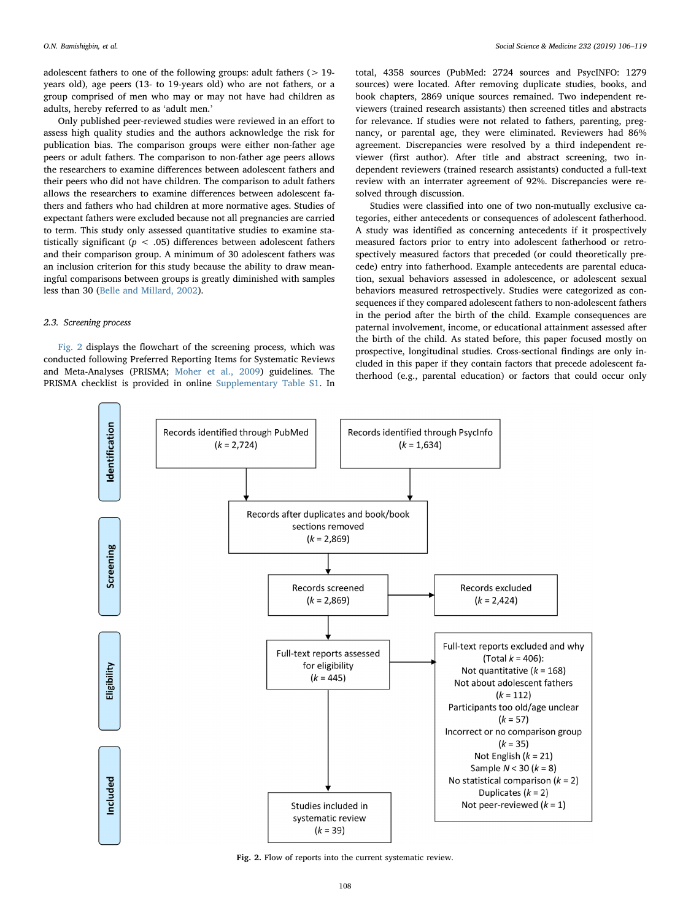adolescent fathers to one of the following groups: adult fathers  $(> 19$ years old), age peers (13- to 19-years old) who are not fathers, or a group comprised of men who may or may not have had children as adults, hereby referred to as 'adult men.'

Only published peer-reviewed studies were reviewed in an effort to assess high quality studies and the authors acknowledge the risk for publication bias. The comparison groups were either non-father age peers or adult fathers. The comparison to non-father age peers allows the researchers to examine differences between adolescent fathers and their peers who did not have children. The comparison to adult fathers allows the researchers to examine differences between adolescent fathers and fathers who had children at more normative ages. Studies of expectant fathers were excluded because not all pregnancies are carried to term. This study only assessed quantitative studies to examine statistically significant ( $p < .05$ ) differences between adolescent fathers and their comparison group. A minimum of 30 adolescent fathers was an inclusion criterion for this study because the ability to draw meaningful comparisons between groups is greatly diminished with samples less than 30 [\(Belle and Millard, 2002](#page-12-4)).

#### 2.3. Screening process

[Fig. 2](#page-2-0) displays the flowchart of the screening process, which was conducted following Preferred Reporting Items for Systematic Reviews and Meta-Analyses (PRISMA; [Moher et al., 2009](#page-13-9)) guidelines. The PRISMA checklist is provided in online Supplementary Table S1. In total, 4358 sources (PubMed: 2724 sources and PsycINFO: 1279 sources) were located. After removing duplicate studies, books, and book chapters, 2869 unique sources remained. Two independent reviewers (trained research assistants) then screened titles and abstracts for relevance. If studies were not related to fathers, parenting, pregnancy, or parental age, they were eliminated. Reviewers had 86% agreement. Discrepancies were resolved by a third independent reviewer (first author). After title and abstract screening, two independent reviewers (trained research assistants) conducted a full-text review with an interrater agreement of 92%. Discrepancies were resolved through discussion.

Studies were classified into one of two non-mutually exclusive categories, either antecedents or consequences of adolescent fatherhood. A study was identified as concerning antecedents if it prospectively measured factors prior to entry into adolescent fatherhood or retrospectively measured factors that preceded (or could theoretically precede) entry into fatherhood. Example antecedents are parental education, sexual behaviors assessed in adolescence, or adolescent sexual behaviors measured retrospectively. Studies were categorized as consequences if they compared adolescent fathers to non-adolescent fathers in the period after the birth of the child. Example consequences are paternal involvement, income, or educational attainment assessed after the birth of the child. As stated before, this paper focused mostly on prospective, longitudinal studies. Cross-sectional findings are only included in this paper if they contain factors that precede adolescent fatherhood (e.g., parental education) or factors that could occur only

<span id="page-2-0"></span>

Fig. 2. Flow of reports into the current systematic review.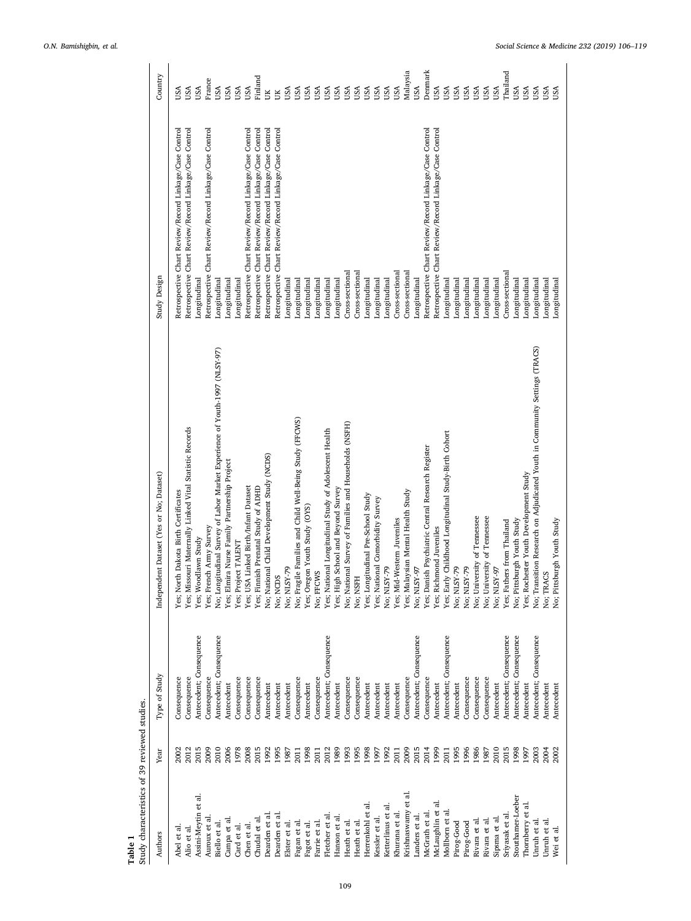<span id="page-3-0"></span>

| France<br>USA<br>USA<br>USA<br>USA<br>USA<br>USA<br>USA<br><b>USA</b><br>USA<br>USA<br>USA<br>USA<br>USA<br>USA<br>USA<br><b>USA</b><br><b>USA</b><br>USA<br>USA<br>USA<br>USA<br>USA<br>USA<br>USA<br>USA<br>USA<br>USA<br>USA<br>USA<br>USA<br>USA<br>USA<br>Ĕ<br>ŬK<br>Retrospective Chart Review/Record Linkage/Case Control<br>Retrospective Chart Review/Record Linkage/Case Control<br>Retrospective Chart Review/Record Linkage/Case Control<br>Retrospective Chart Review/Record Linkage/Case Control<br>Retrospective Chart Review/Record Linkage/Case Control<br>Retrospective Chart Review/Record Linkage/Case Control<br>Retrospective Chart Review/Record Linkage/Case Control<br>Retrospective Chart Review/Record Linkage/Case Control<br>Retrospective Chart Review/Record Linkage/Case Control<br>Cross-sectional<br>Cross-sectional<br>Cross-sectional<br>Cross-sectional<br>Cross-sectional<br>Study Design<br>Longitudinal<br>Longitudinal<br>Longitudinal<br>Longitudinal<br>Longitudinal<br>Longitudinal<br>Longitudinal<br>Longitudinal<br>Longitudinal<br>Longitudinal<br>Longitudinal<br>Longitudinal<br>Longitudinal<br>ongitudinal<br>Longitudinal<br>Longitudinal<br>Longitudinal<br>Longitudinal<br>Longitudinal<br>Longitudinal<br>Longitudinal<br>Longitudinal<br>Longitudinal<br>Longitudinal<br>Longitudinal<br>No; Transition Research on Adjudicated Youth in Community Settings (TRACS)<br>No; Longitudinal Survey of Labor Market Experience of Youth-1997 (NLSY-97)<br>No; Fragile Families and Child Well-Being Study (FFCWS)<br>No; National Survey of Families and Households (NSFH)<br>Yes; Missouri Maternally Linked Vital Statistic Records<br>Yes; National Longitudinal Study of Adolescent Health<br>Yes; Early Childhood Longitudinal Study-Birth Cohort<br>Yes; Danish Psychiatric Central Research Register<br>No; National Child Development Study (NCDS)<br>Yes; Elmira Nurse Family Partnership Project<br>Yes; Rochester Youth Development Study<br>Independent Dataset (Yes or No; Dataset)<br>Yes; USA Linked Birth/Infant Dataset<br>Yes; Finnish Prenatal Study of ADHD<br>Yes; High School and Beyond Survey<br>Yes; Malaysian Mental Health Study<br>Yes; North Dakota Birth Certificates<br>Yes; Longitudinal Pre-School Study<br>Yes; National Comorbidity Survey<br>Yes; Oregon Youth Study (OYS)<br>No; University of Tennessee<br>No; University of Tennessee<br>Yes; Mid-Western Juveniles<br>No; Pittsburgh Youth Study<br>No; Pittsburgh Youth Study<br>Yes; Fathers from Thailand<br>Yes; French Army Survey<br>Yes; Richmond Juveniles<br>Yes; Woodlawn Study<br>Yes; Project TALENT<br>No; NLSY-79<br>No; NLSY-79<br><b>No; NLSY-79</b><br>No; NLSY-79<br><b>No; NLSY-97</b><br>No; NLSY-97<br><b>No; FFCWS</b><br>Vo; TRACS<br>No; NCDS<br>No; NSFH<br>Antecedent; Consequence<br>Antecedent; Consequence<br>Antecedent; Consequence<br>Antecedent; Consequence<br>Antecedent; Consequence<br>Antecedent; Consequence<br>Antecedent; Consequence<br>Antecedent; Consequence<br>Type of Study<br>Consequence<br>Consequence<br>Consequence<br>Consequence<br>Consequence<br>Consequence<br>Consequence<br>Consequence<br>Consequence<br>Consequence<br>Consequence<br>Consequence<br>Consequence<br>Consequence<br>Consequence<br>Antecedent<br>Antecedent<br>Antecedent<br>Antecedent<br>Antecedent<br>Antecedent<br>Antecedent<br>Antecedent<br>Antecedent<br>Antecedent<br>Antecedent<br>Antecedent<br>Antecedent<br>Antecedent<br>Antecedent<br>Antecedent<br>2010<br>2015<br>2015<br>2009<br>2010<br>2015<br>2012<br>1989<br>1995<br>1998<br>2009<br>2015<br>2014<br>1999<br>1995<br>1996<br>1986<br>1998<br>2003<br>2012<br>2006<br>1978<br>2008<br>1992<br>1995<br>1998<br>1993<br>1992<br>1987<br>1997<br>2004<br>2002<br>1987<br>2011<br>1997<br>2011<br>Year<br>2011<br>2011<br>2002<br>Krishnaswamy et al.<br>Assini-Meytin et al.<br>Stouthamer-Loeber<br>Herrenkohl et al.<br>McLaughlin et al<br>Thomberry et al.<br>Ketterlinus et al.<br>Mollborn et al.<br>Khurana et al.<br>McGrath et al.<br>Dearden et al<br>Sriyasak et al<br>Dearden et al<br>Landers et al.<br>Fletcher et al<br>Kessler et al.<br>Auroux et al<br>Chudal et al.<br>Hanson et al<br>Sipsma et al.<br>Campa et al.<br>Rivara et al.<br>Unruh et al.<br>Rivara et al.<br>Unruh et al.<br>Heath et al.<br>Heath et al.<br>Farrie et al.<br>Fagan et al.<br>Pirog-Good<br>Biello et al.<br>Elster et al.<br>Pirog-Good<br>Fagot et al.<br>Chen et al.<br>Card et al.<br>Abel et al.<br>Alio et al.<br>Wei et al.<br>Authors | Study characteristics of 39 reviewed studies. |  |  |          |
|-----------------------------------------------------------------------------------------------------------------------------------------------------------------------------------------------------------------------------------------------------------------------------------------------------------------------------------------------------------------------------------------------------------------------------------------------------------------------------------------------------------------------------------------------------------------------------------------------------------------------------------------------------------------------------------------------------------------------------------------------------------------------------------------------------------------------------------------------------------------------------------------------------------------------------------------------------------------------------------------------------------------------------------------------------------------------------------------------------------------------------------------------------------------------------------------------------------------------------------------------------------------------------------------------------------------------------------------------------------------------------------------------------------------------------------------------------------------------------------------------------------------------------------------------------------------------------------------------------------------------------------------------------------------------------------------------------------------------------------------------------------------------------------------------------------------------------------------------------------------------------------------------------------------------------------------------------------------------------------------------------------------------------------------------------------------------------------------------------------------------------------------------------------------------------------------------------------------------------------------------------------------------------------------------------------------------------------------------------------------------------------------------------------------------------------------------------------------------------------------------------------------------------------------------------------------------------------------------------------------------------------------------------------------------------------------------------------------------------------------------------------------------------------------------------------------------------------------------------------------------------------------------------------------------------------------------------------------------------------------------------------------------------------------------------------------------------------------------------------------------------------------------------------------------------------------------------------------------------------------------------------------------------------------------------------------------------------------------------------------------------------------------------------------------------------------------------------------------------------------------------------------------------------------------------------------------------------------------------------------------------------------------------------------------------------------------------------------------------------------------------------------------------------------------------------------------------------------------------------------------------------------------------------------------------------------------------------------------------------------------------------------------------------------------------------------------------------------------------------------------------------------------------------------------------------------------------------------------------------------------------------------------------------------------------------------------------------------------------------------------------------------------------------------------------------------------------------------------------------------------------------------------------------------------------------------------------------------|-----------------------------------------------|--|--|----------|
|                                                                                                                                                                                                                                                                                                                                                                                                                                                                                                                                                                                                                                                                                                                                                                                                                                                                                                                                                                                                                                                                                                                                                                                                                                                                                                                                                                                                                                                                                                                                                                                                                                                                                                                                                                                                                                                                                                                                                                                                                                                                                                                                                                                                                                                                                                                                                                                                                                                                                                                                                                                                                                                                                                                                                                                                                                                                                                                                                                                                                                                                                                                                                                                                                                                                                                                                                                                                                                                                                                                                                                                                                                                                                                                                                                                                                                                                                                                                                                                                                                                                                                                                                                                                                                                                                                                                                                                                                                                                                                                                                                                         |                                               |  |  | Country  |
|                                                                                                                                                                                                                                                                                                                                                                                                                                                                                                                                                                                                                                                                                                                                                                                                                                                                                                                                                                                                                                                                                                                                                                                                                                                                                                                                                                                                                                                                                                                                                                                                                                                                                                                                                                                                                                                                                                                                                                                                                                                                                                                                                                                                                                                                                                                                                                                                                                                                                                                                                                                                                                                                                                                                                                                                                                                                                                                                                                                                                                                                                                                                                                                                                                                                                                                                                                                                                                                                                                                                                                                                                                                                                                                                                                                                                                                                                                                                                                                                                                                                                                                                                                                                                                                                                                                                                                                                                                                                                                                                                                                         |                                               |  |  |          |
|                                                                                                                                                                                                                                                                                                                                                                                                                                                                                                                                                                                                                                                                                                                                                                                                                                                                                                                                                                                                                                                                                                                                                                                                                                                                                                                                                                                                                                                                                                                                                                                                                                                                                                                                                                                                                                                                                                                                                                                                                                                                                                                                                                                                                                                                                                                                                                                                                                                                                                                                                                                                                                                                                                                                                                                                                                                                                                                                                                                                                                                                                                                                                                                                                                                                                                                                                                                                                                                                                                                                                                                                                                                                                                                                                                                                                                                                                                                                                                                                                                                                                                                                                                                                                                                                                                                                                                                                                                                                                                                                                                                         |                                               |  |  |          |
|                                                                                                                                                                                                                                                                                                                                                                                                                                                                                                                                                                                                                                                                                                                                                                                                                                                                                                                                                                                                                                                                                                                                                                                                                                                                                                                                                                                                                                                                                                                                                                                                                                                                                                                                                                                                                                                                                                                                                                                                                                                                                                                                                                                                                                                                                                                                                                                                                                                                                                                                                                                                                                                                                                                                                                                                                                                                                                                                                                                                                                                                                                                                                                                                                                                                                                                                                                                                                                                                                                                                                                                                                                                                                                                                                                                                                                                                                                                                                                                                                                                                                                                                                                                                                                                                                                                                                                                                                                                                                                                                                                                         |                                               |  |  |          |
|                                                                                                                                                                                                                                                                                                                                                                                                                                                                                                                                                                                                                                                                                                                                                                                                                                                                                                                                                                                                                                                                                                                                                                                                                                                                                                                                                                                                                                                                                                                                                                                                                                                                                                                                                                                                                                                                                                                                                                                                                                                                                                                                                                                                                                                                                                                                                                                                                                                                                                                                                                                                                                                                                                                                                                                                                                                                                                                                                                                                                                                                                                                                                                                                                                                                                                                                                                                                                                                                                                                                                                                                                                                                                                                                                                                                                                                                                                                                                                                                                                                                                                                                                                                                                                                                                                                                                                                                                                                                                                                                                                                         |                                               |  |  |          |
|                                                                                                                                                                                                                                                                                                                                                                                                                                                                                                                                                                                                                                                                                                                                                                                                                                                                                                                                                                                                                                                                                                                                                                                                                                                                                                                                                                                                                                                                                                                                                                                                                                                                                                                                                                                                                                                                                                                                                                                                                                                                                                                                                                                                                                                                                                                                                                                                                                                                                                                                                                                                                                                                                                                                                                                                                                                                                                                                                                                                                                                                                                                                                                                                                                                                                                                                                                                                                                                                                                                                                                                                                                                                                                                                                                                                                                                                                                                                                                                                                                                                                                                                                                                                                                                                                                                                                                                                                                                                                                                                                                                         |                                               |  |  |          |
|                                                                                                                                                                                                                                                                                                                                                                                                                                                                                                                                                                                                                                                                                                                                                                                                                                                                                                                                                                                                                                                                                                                                                                                                                                                                                                                                                                                                                                                                                                                                                                                                                                                                                                                                                                                                                                                                                                                                                                                                                                                                                                                                                                                                                                                                                                                                                                                                                                                                                                                                                                                                                                                                                                                                                                                                                                                                                                                                                                                                                                                                                                                                                                                                                                                                                                                                                                                                                                                                                                                                                                                                                                                                                                                                                                                                                                                                                                                                                                                                                                                                                                                                                                                                                                                                                                                                                                                                                                                                                                                                                                                         |                                               |  |  |          |
|                                                                                                                                                                                                                                                                                                                                                                                                                                                                                                                                                                                                                                                                                                                                                                                                                                                                                                                                                                                                                                                                                                                                                                                                                                                                                                                                                                                                                                                                                                                                                                                                                                                                                                                                                                                                                                                                                                                                                                                                                                                                                                                                                                                                                                                                                                                                                                                                                                                                                                                                                                                                                                                                                                                                                                                                                                                                                                                                                                                                                                                                                                                                                                                                                                                                                                                                                                                                                                                                                                                                                                                                                                                                                                                                                                                                                                                                                                                                                                                                                                                                                                                                                                                                                                                                                                                                                                                                                                                                                                                                                                                         |                                               |  |  |          |
|                                                                                                                                                                                                                                                                                                                                                                                                                                                                                                                                                                                                                                                                                                                                                                                                                                                                                                                                                                                                                                                                                                                                                                                                                                                                                                                                                                                                                                                                                                                                                                                                                                                                                                                                                                                                                                                                                                                                                                                                                                                                                                                                                                                                                                                                                                                                                                                                                                                                                                                                                                                                                                                                                                                                                                                                                                                                                                                                                                                                                                                                                                                                                                                                                                                                                                                                                                                                                                                                                                                                                                                                                                                                                                                                                                                                                                                                                                                                                                                                                                                                                                                                                                                                                                                                                                                                                                                                                                                                                                                                                                                         |                                               |  |  |          |
|                                                                                                                                                                                                                                                                                                                                                                                                                                                                                                                                                                                                                                                                                                                                                                                                                                                                                                                                                                                                                                                                                                                                                                                                                                                                                                                                                                                                                                                                                                                                                                                                                                                                                                                                                                                                                                                                                                                                                                                                                                                                                                                                                                                                                                                                                                                                                                                                                                                                                                                                                                                                                                                                                                                                                                                                                                                                                                                                                                                                                                                                                                                                                                                                                                                                                                                                                                                                                                                                                                                                                                                                                                                                                                                                                                                                                                                                                                                                                                                                                                                                                                                                                                                                                                                                                                                                                                                                                                                                                                                                                                                         |                                               |  |  | Finland  |
|                                                                                                                                                                                                                                                                                                                                                                                                                                                                                                                                                                                                                                                                                                                                                                                                                                                                                                                                                                                                                                                                                                                                                                                                                                                                                                                                                                                                                                                                                                                                                                                                                                                                                                                                                                                                                                                                                                                                                                                                                                                                                                                                                                                                                                                                                                                                                                                                                                                                                                                                                                                                                                                                                                                                                                                                                                                                                                                                                                                                                                                                                                                                                                                                                                                                                                                                                                                                                                                                                                                                                                                                                                                                                                                                                                                                                                                                                                                                                                                                                                                                                                                                                                                                                                                                                                                                                                                                                                                                                                                                                                                         |                                               |  |  |          |
|                                                                                                                                                                                                                                                                                                                                                                                                                                                                                                                                                                                                                                                                                                                                                                                                                                                                                                                                                                                                                                                                                                                                                                                                                                                                                                                                                                                                                                                                                                                                                                                                                                                                                                                                                                                                                                                                                                                                                                                                                                                                                                                                                                                                                                                                                                                                                                                                                                                                                                                                                                                                                                                                                                                                                                                                                                                                                                                                                                                                                                                                                                                                                                                                                                                                                                                                                                                                                                                                                                                                                                                                                                                                                                                                                                                                                                                                                                                                                                                                                                                                                                                                                                                                                                                                                                                                                                                                                                                                                                                                                                                         |                                               |  |  |          |
|                                                                                                                                                                                                                                                                                                                                                                                                                                                                                                                                                                                                                                                                                                                                                                                                                                                                                                                                                                                                                                                                                                                                                                                                                                                                                                                                                                                                                                                                                                                                                                                                                                                                                                                                                                                                                                                                                                                                                                                                                                                                                                                                                                                                                                                                                                                                                                                                                                                                                                                                                                                                                                                                                                                                                                                                                                                                                                                                                                                                                                                                                                                                                                                                                                                                                                                                                                                                                                                                                                                                                                                                                                                                                                                                                                                                                                                                                                                                                                                                                                                                                                                                                                                                                                                                                                                                                                                                                                                                                                                                                                                         |                                               |  |  |          |
|                                                                                                                                                                                                                                                                                                                                                                                                                                                                                                                                                                                                                                                                                                                                                                                                                                                                                                                                                                                                                                                                                                                                                                                                                                                                                                                                                                                                                                                                                                                                                                                                                                                                                                                                                                                                                                                                                                                                                                                                                                                                                                                                                                                                                                                                                                                                                                                                                                                                                                                                                                                                                                                                                                                                                                                                                                                                                                                                                                                                                                                                                                                                                                                                                                                                                                                                                                                                                                                                                                                                                                                                                                                                                                                                                                                                                                                                                                                                                                                                                                                                                                                                                                                                                                                                                                                                                                                                                                                                                                                                                                                         |                                               |  |  |          |
|                                                                                                                                                                                                                                                                                                                                                                                                                                                                                                                                                                                                                                                                                                                                                                                                                                                                                                                                                                                                                                                                                                                                                                                                                                                                                                                                                                                                                                                                                                                                                                                                                                                                                                                                                                                                                                                                                                                                                                                                                                                                                                                                                                                                                                                                                                                                                                                                                                                                                                                                                                                                                                                                                                                                                                                                                                                                                                                                                                                                                                                                                                                                                                                                                                                                                                                                                                                                                                                                                                                                                                                                                                                                                                                                                                                                                                                                                                                                                                                                                                                                                                                                                                                                                                                                                                                                                                                                                                                                                                                                                                                         |                                               |  |  |          |
|                                                                                                                                                                                                                                                                                                                                                                                                                                                                                                                                                                                                                                                                                                                                                                                                                                                                                                                                                                                                                                                                                                                                                                                                                                                                                                                                                                                                                                                                                                                                                                                                                                                                                                                                                                                                                                                                                                                                                                                                                                                                                                                                                                                                                                                                                                                                                                                                                                                                                                                                                                                                                                                                                                                                                                                                                                                                                                                                                                                                                                                                                                                                                                                                                                                                                                                                                                                                                                                                                                                                                                                                                                                                                                                                                                                                                                                                                                                                                                                                                                                                                                                                                                                                                                                                                                                                                                                                                                                                                                                                                                                         |                                               |  |  |          |
|                                                                                                                                                                                                                                                                                                                                                                                                                                                                                                                                                                                                                                                                                                                                                                                                                                                                                                                                                                                                                                                                                                                                                                                                                                                                                                                                                                                                                                                                                                                                                                                                                                                                                                                                                                                                                                                                                                                                                                                                                                                                                                                                                                                                                                                                                                                                                                                                                                                                                                                                                                                                                                                                                                                                                                                                                                                                                                                                                                                                                                                                                                                                                                                                                                                                                                                                                                                                                                                                                                                                                                                                                                                                                                                                                                                                                                                                                                                                                                                                                                                                                                                                                                                                                                                                                                                                                                                                                                                                                                                                                                                         |                                               |  |  |          |
|                                                                                                                                                                                                                                                                                                                                                                                                                                                                                                                                                                                                                                                                                                                                                                                                                                                                                                                                                                                                                                                                                                                                                                                                                                                                                                                                                                                                                                                                                                                                                                                                                                                                                                                                                                                                                                                                                                                                                                                                                                                                                                                                                                                                                                                                                                                                                                                                                                                                                                                                                                                                                                                                                                                                                                                                                                                                                                                                                                                                                                                                                                                                                                                                                                                                                                                                                                                                                                                                                                                                                                                                                                                                                                                                                                                                                                                                                                                                                                                                                                                                                                                                                                                                                                                                                                                                                                                                                                                                                                                                                                                         |                                               |  |  |          |
|                                                                                                                                                                                                                                                                                                                                                                                                                                                                                                                                                                                                                                                                                                                                                                                                                                                                                                                                                                                                                                                                                                                                                                                                                                                                                                                                                                                                                                                                                                                                                                                                                                                                                                                                                                                                                                                                                                                                                                                                                                                                                                                                                                                                                                                                                                                                                                                                                                                                                                                                                                                                                                                                                                                                                                                                                                                                                                                                                                                                                                                                                                                                                                                                                                                                                                                                                                                                                                                                                                                                                                                                                                                                                                                                                                                                                                                                                                                                                                                                                                                                                                                                                                                                                                                                                                                                                                                                                                                                                                                                                                                         |                                               |  |  |          |
|                                                                                                                                                                                                                                                                                                                                                                                                                                                                                                                                                                                                                                                                                                                                                                                                                                                                                                                                                                                                                                                                                                                                                                                                                                                                                                                                                                                                                                                                                                                                                                                                                                                                                                                                                                                                                                                                                                                                                                                                                                                                                                                                                                                                                                                                                                                                                                                                                                                                                                                                                                                                                                                                                                                                                                                                                                                                                                                                                                                                                                                                                                                                                                                                                                                                                                                                                                                                                                                                                                                                                                                                                                                                                                                                                                                                                                                                                                                                                                                                                                                                                                                                                                                                                                                                                                                                                                                                                                                                                                                                                                                         |                                               |  |  |          |
|                                                                                                                                                                                                                                                                                                                                                                                                                                                                                                                                                                                                                                                                                                                                                                                                                                                                                                                                                                                                                                                                                                                                                                                                                                                                                                                                                                                                                                                                                                                                                                                                                                                                                                                                                                                                                                                                                                                                                                                                                                                                                                                                                                                                                                                                                                                                                                                                                                                                                                                                                                                                                                                                                                                                                                                                                                                                                                                                                                                                                                                                                                                                                                                                                                                                                                                                                                                                                                                                                                                                                                                                                                                                                                                                                                                                                                                                                                                                                                                                                                                                                                                                                                                                                                                                                                                                                                                                                                                                                                                                                                                         |                                               |  |  |          |
|                                                                                                                                                                                                                                                                                                                                                                                                                                                                                                                                                                                                                                                                                                                                                                                                                                                                                                                                                                                                                                                                                                                                                                                                                                                                                                                                                                                                                                                                                                                                                                                                                                                                                                                                                                                                                                                                                                                                                                                                                                                                                                                                                                                                                                                                                                                                                                                                                                                                                                                                                                                                                                                                                                                                                                                                                                                                                                                                                                                                                                                                                                                                                                                                                                                                                                                                                                                                                                                                                                                                                                                                                                                                                                                                                                                                                                                                                                                                                                                                                                                                                                                                                                                                                                                                                                                                                                                                                                                                                                                                                                                         |                                               |  |  |          |
|                                                                                                                                                                                                                                                                                                                                                                                                                                                                                                                                                                                                                                                                                                                                                                                                                                                                                                                                                                                                                                                                                                                                                                                                                                                                                                                                                                                                                                                                                                                                                                                                                                                                                                                                                                                                                                                                                                                                                                                                                                                                                                                                                                                                                                                                                                                                                                                                                                                                                                                                                                                                                                                                                                                                                                                                                                                                                                                                                                                                                                                                                                                                                                                                                                                                                                                                                                                                                                                                                                                                                                                                                                                                                                                                                                                                                                                                                                                                                                                                                                                                                                                                                                                                                                                                                                                                                                                                                                                                                                                                                                                         |                                               |  |  |          |
|                                                                                                                                                                                                                                                                                                                                                                                                                                                                                                                                                                                                                                                                                                                                                                                                                                                                                                                                                                                                                                                                                                                                                                                                                                                                                                                                                                                                                                                                                                                                                                                                                                                                                                                                                                                                                                                                                                                                                                                                                                                                                                                                                                                                                                                                                                                                                                                                                                                                                                                                                                                                                                                                                                                                                                                                                                                                                                                                                                                                                                                                                                                                                                                                                                                                                                                                                                                                                                                                                                                                                                                                                                                                                                                                                                                                                                                                                                                                                                                                                                                                                                                                                                                                                                                                                                                                                                                                                                                                                                                                                                                         |                                               |  |  |          |
|                                                                                                                                                                                                                                                                                                                                                                                                                                                                                                                                                                                                                                                                                                                                                                                                                                                                                                                                                                                                                                                                                                                                                                                                                                                                                                                                                                                                                                                                                                                                                                                                                                                                                                                                                                                                                                                                                                                                                                                                                                                                                                                                                                                                                                                                                                                                                                                                                                                                                                                                                                                                                                                                                                                                                                                                                                                                                                                                                                                                                                                                                                                                                                                                                                                                                                                                                                                                                                                                                                                                                                                                                                                                                                                                                                                                                                                                                                                                                                                                                                                                                                                                                                                                                                                                                                                                                                                                                                                                                                                                                                                         |                                               |  |  | Malaysia |
|                                                                                                                                                                                                                                                                                                                                                                                                                                                                                                                                                                                                                                                                                                                                                                                                                                                                                                                                                                                                                                                                                                                                                                                                                                                                                                                                                                                                                                                                                                                                                                                                                                                                                                                                                                                                                                                                                                                                                                                                                                                                                                                                                                                                                                                                                                                                                                                                                                                                                                                                                                                                                                                                                                                                                                                                                                                                                                                                                                                                                                                                                                                                                                                                                                                                                                                                                                                                                                                                                                                                                                                                                                                                                                                                                                                                                                                                                                                                                                                                                                                                                                                                                                                                                                                                                                                                                                                                                                                                                                                                                                                         |                                               |  |  |          |
|                                                                                                                                                                                                                                                                                                                                                                                                                                                                                                                                                                                                                                                                                                                                                                                                                                                                                                                                                                                                                                                                                                                                                                                                                                                                                                                                                                                                                                                                                                                                                                                                                                                                                                                                                                                                                                                                                                                                                                                                                                                                                                                                                                                                                                                                                                                                                                                                                                                                                                                                                                                                                                                                                                                                                                                                                                                                                                                                                                                                                                                                                                                                                                                                                                                                                                                                                                                                                                                                                                                                                                                                                                                                                                                                                                                                                                                                                                                                                                                                                                                                                                                                                                                                                                                                                                                                                                                                                                                                                                                                                                                         |                                               |  |  | Denmark  |
|                                                                                                                                                                                                                                                                                                                                                                                                                                                                                                                                                                                                                                                                                                                                                                                                                                                                                                                                                                                                                                                                                                                                                                                                                                                                                                                                                                                                                                                                                                                                                                                                                                                                                                                                                                                                                                                                                                                                                                                                                                                                                                                                                                                                                                                                                                                                                                                                                                                                                                                                                                                                                                                                                                                                                                                                                                                                                                                                                                                                                                                                                                                                                                                                                                                                                                                                                                                                                                                                                                                                                                                                                                                                                                                                                                                                                                                                                                                                                                                                                                                                                                                                                                                                                                                                                                                                                                                                                                                                                                                                                                                         |                                               |  |  |          |
|                                                                                                                                                                                                                                                                                                                                                                                                                                                                                                                                                                                                                                                                                                                                                                                                                                                                                                                                                                                                                                                                                                                                                                                                                                                                                                                                                                                                                                                                                                                                                                                                                                                                                                                                                                                                                                                                                                                                                                                                                                                                                                                                                                                                                                                                                                                                                                                                                                                                                                                                                                                                                                                                                                                                                                                                                                                                                                                                                                                                                                                                                                                                                                                                                                                                                                                                                                                                                                                                                                                                                                                                                                                                                                                                                                                                                                                                                                                                                                                                                                                                                                                                                                                                                                                                                                                                                                                                                                                                                                                                                                                         |                                               |  |  |          |
|                                                                                                                                                                                                                                                                                                                                                                                                                                                                                                                                                                                                                                                                                                                                                                                                                                                                                                                                                                                                                                                                                                                                                                                                                                                                                                                                                                                                                                                                                                                                                                                                                                                                                                                                                                                                                                                                                                                                                                                                                                                                                                                                                                                                                                                                                                                                                                                                                                                                                                                                                                                                                                                                                                                                                                                                                                                                                                                                                                                                                                                                                                                                                                                                                                                                                                                                                                                                                                                                                                                                                                                                                                                                                                                                                                                                                                                                                                                                                                                                                                                                                                                                                                                                                                                                                                                                                                                                                                                                                                                                                                                         |                                               |  |  |          |
|                                                                                                                                                                                                                                                                                                                                                                                                                                                                                                                                                                                                                                                                                                                                                                                                                                                                                                                                                                                                                                                                                                                                                                                                                                                                                                                                                                                                                                                                                                                                                                                                                                                                                                                                                                                                                                                                                                                                                                                                                                                                                                                                                                                                                                                                                                                                                                                                                                                                                                                                                                                                                                                                                                                                                                                                                                                                                                                                                                                                                                                                                                                                                                                                                                                                                                                                                                                                                                                                                                                                                                                                                                                                                                                                                                                                                                                                                                                                                                                                                                                                                                                                                                                                                                                                                                                                                                                                                                                                                                                                                                                         |                                               |  |  |          |
|                                                                                                                                                                                                                                                                                                                                                                                                                                                                                                                                                                                                                                                                                                                                                                                                                                                                                                                                                                                                                                                                                                                                                                                                                                                                                                                                                                                                                                                                                                                                                                                                                                                                                                                                                                                                                                                                                                                                                                                                                                                                                                                                                                                                                                                                                                                                                                                                                                                                                                                                                                                                                                                                                                                                                                                                                                                                                                                                                                                                                                                                                                                                                                                                                                                                                                                                                                                                                                                                                                                                                                                                                                                                                                                                                                                                                                                                                                                                                                                                                                                                                                                                                                                                                                                                                                                                                                                                                                                                                                                                                                                         |                                               |  |  |          |
|                                                                                                                                                                                                                                                                                                                                                                                                                                                                                                                                                                                                                                                                                                                                                                                                                                                                                                                                                                                                                                                                                                                                                                                                                                                                                                                                                                                                                                                                                                                                                                                                                                                                                                                                                                                                                                                                                                                                                                                                                                                                                                                                                                                                                                                                                                                                                                                                                                                                                                                                                                                                                                                                                                                                                                                                                                                                                                                                                                                                                                                                                                                                                                                                                                                                                                                                                                                                                                                                                                                                                                                                                                                                                                                                                                                                                                                                                                                                                                                                                                                                                                                                                                                                                                                                                                                                                                                                                                                                                                                                                                                         |                                               |  |  |          |
|                                                                                                                                                                                                                                                                                                                                                                                                                                                                                                                                                                                                                                                                                                                                                                                                                                                                                                                                                                                                                                                                                                                                                                                                                                                                                                                                                                                                                                                                                                                                                                                                                                                                                                                                                                                                                                                                                                                                                                                                                                                                                                                                                                                                                                                                                                                                                                                                                                                                                                                                                                                                                                                                                                                                                                                                                                                                                                                                                                                                                                                                                                                                                                                                                                                                                                                                                                                                                                                                                                                                                                                                                                                                                                                                                                                                                                                                                                                                                                                                                                                                                                                                                                                                                                                                                                                                                                                                                                                                                                                                                                                         |                                               |  |  |          |
|                                                                                                                                                                                                                                                                                                                                                                                                                                                                                                                                                                                                                                                                                                                                                                                                                                                                                                                                                                                                                                                                                                                                                                                                                                                                                                                                                                                                                                                                                                                                                                                                                                                                                                                                                                                                                                                                                                                                                                                                                                                                                                                                                                                                                                                                                                                                                                                                                                                                                                                                                                                                                                                                                                                                                                                                                                                                                                                                                                                                                                                                                                                                                                                                                                                                                                                                                                                                                                                                                                                                                                                                                                                                                                                                                                                                                                                                                                                                                                                                                                                                                                                                                                                                                                                                                                                                                                                                                                                                                                                                                                                         |                                               |  |  | Thailand |
|                                                                                                                                                                                                                                                                                                                                                                                                                                                                                                                                                                                                                                                                                                                                                                                                                                                                                                                                                                                                                                                                                                                                                                                                                                                                                                                                                                                                                                                                                                                                                                                                                                                                                                                                                                                                                                                                                                                                                                                                                                                                                                                                                                                                                                                                                                                                                                                                                                                                                                                                                                                                                                                                                                                                                                                                                                                                                                                                                                                                                                                                                                                                                                                                                                                                                                                                                                                                                                                                                                                                                                                                                                                                                                                                                                                                                                                                                                                                                                                                                                                                                                                                                                                                                                                                                                                                                                                                                                                                                                                                                                                         |                                               |  |  |          |
|                                                                                                                                                                                                                                                                                                                                                                                                                                                                                                                                                                                                                                                                                                                                                                                                                                                                                                                                                                                                                                                                                                                                                                                                                                                                                                                                                                                                                                                                                                                                                                                                                                                                                                                                                                                                                                                                                                                                                                                                                                                                                                                                                                                                                                                                                                                                                                                                                                                                                                                                                                                                                                                                                                                                                                                                                                                                                                                                                                                                                                                                                                                                                                                                                                                                                                                                                                                                                                                                                                                                                                                                                                                                                                                                                                                                                                                                                                                                                                                                                                                                                                                                                                                                                                                                                                                                                                                                                                                                                                                                                                                         |                                               |  |  |          |
|                                                                                                                                                                                                                                                                                                                                                                                                                                                                                                                                                                                                                                                                                                                                                                                                                                                                                                                                                                                                                                                                                                                                                                                                                                                                                                                                                                                                                                                                                                                                                                                                                                                                                                                                                                                                                                                                                                                                                                                                                                                                                                                                                                                                                                                                                                                                                                                                                                                                                                                                                                                                                                                                                                                                                                                                                                                                                                                                                                                                                                                                                                                                                                                                                                                                                                                                                                                                                                                                                                                                                                                                                                                                                                                                                                                                                                                                                                                                                                                                                                                                                                                                                                                                                                                                                                                                                                                                                                                                                                                                                                                         |                                               |  |  |          |
|                                                                                                                                                                                                                                                                                                                                                                                                                                                                                                                                                                                                                                                                                                                                                                                                                                                                                                                                                                                                                                                                                                                                                                                                                                                                                                                                                                                                                                                                                                                                                                                                                                                                                                                                                                                                                                                                                                                                                                                                                                                                                                                                                                                                                                                                                                                                                                                                                                                                                                                                                                                                                                                                                                                                                                                                                                                                                                                                                                                                                                                                                                                                                                                                                                                                                                                                                                                                                                                                                                                                                                                                                                                                                                                                                                                                                                                                                                                                                                                                                                                                                                                                                                                                                                                                                                                                                                                                                                                                                                                                                                                         |                                               |  |  |          |
|                                                                                                                                                                                                                                                                                                                                                                                                                                                                                                                                                                                                                                                                                                                                                                                                                                                                                                                                                                                                                                                                                                                                                                                                                                                                                                                                                                                                                                                                                                                                                                                                                                                                                                                                                                                                                                                                                                                                                                                                                                                                                                                                                                                                                                                                                                                                                                                                                                                                                                                                                                                                                                                                                                                                                                                                                                                                                                                                                                                                                                                                                                                                                                                                                                                                                                                                                                                                                                                                                                                                                                                                                                                                                                                                                                                                                                                                                                                                                                                                                                                                                                                                                                                                                                                                                                                                                                                                                                                                                                                                                                                         |                                               |  |  |          |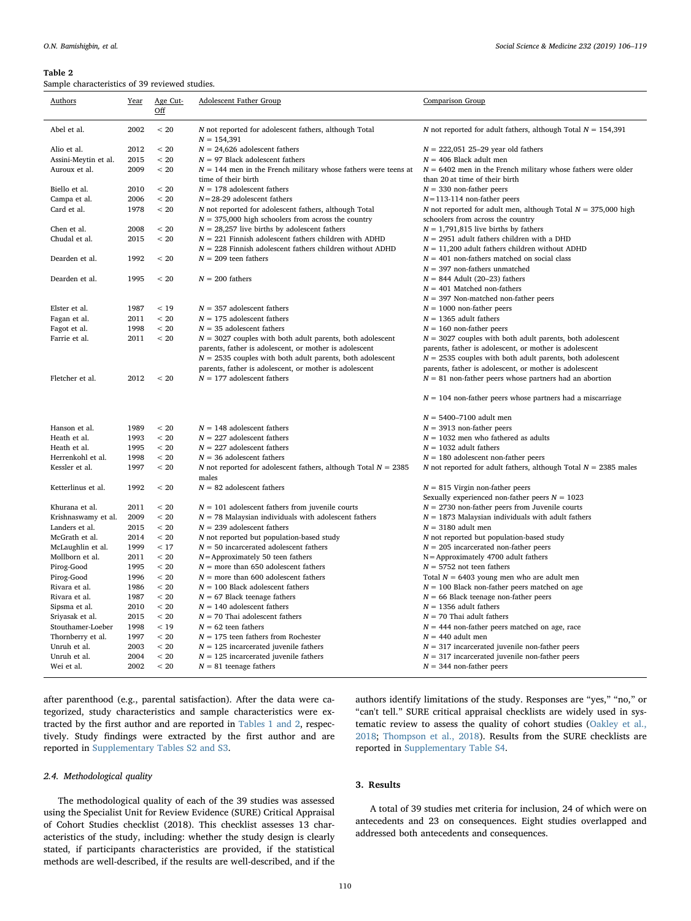#### <span id="page-4-0"></span>Table 2

Sample characteristics of 39 reviewed studies.

| Authors              | Year | Age Cut-<br>$\underline{\mathrm{Off}}$ | Adolescent Father Group                                                | Comparison Group                                                  |
|----------------------|------|----------------------------------------|------------------------------------------------------------------------|-------------------------------------------------------------------|
| Abel et al.          | 2002 | < 20                                   | N not reported for adolescent fathers, although Total<br>$N = 154,391$ | N not reported for adult fathers, although Total $N = 154,391$    |
| Alio et al.          | 2012 | < 20                                   | $N = 24,626$ adolescent fathers                                        | $N = 222,051$ 25–29 year old fathers                              |
| Assini-Meytin et al. | 2015 | < 20                                   | $N = 97$ Black adolescent fathers                                      | $N = 406$ Black adult men                                         |
| Auroux et al.        | 2009 | < 20                                   | $N = 144$ men in the French military whose fathers were teens at       | $N = 6402$ men in the French military whose fathers were older    |
|                      |      |                                        | time of their birth                                                    | than 20 at time of their birth                                    |
| Biello et al.        | 2010 | < 20                                   | $N = 178$ adolescent fathers                                           | $N = 330$ non-father peers                                        |
| Campa et al.         | 2006 | < 20                                   | $N = 28-29$ adolescent fathers                                         | $N = 113 - 114$ non-father peers                                  |
| Card et al.          | 1978 | < 20                                   | N not reported for adolescent fathers, although Total                  | N not reported for adult men, although Total $N = 375,000$ high   |
|                      |      |                                        | $N = 375,000$ high schoolers from across the country                   | schoolers from across the country                                 |
| Chen et al.          | 2008 | < 20<br>< 20                           | $N = 28,257$ live births by adolescent fathers                         | $N = 1,791,815$ live births by fathers                            |
| Chudal et al.        | 2015 |                                        | $N = 221$ Finnish adolescent fathers children with ADHD                | $N = 2951$ adult fathers children with a DHD                      |
|                      |      |                                        | $N = 228$ Finnish adolescent fathers children without ADHD             | $N = 11,200$ adult fathers children without ADHD                  |
| Dearden et al.       | 1992 | < 20                                   | $N = 209$ teen fathers                                                 | $N = 401$ non-fathers matched on social class                     |
|                      |      |                                        |                                                                        | $N = 397$ non-fathers unmatched                                   |
| Dearden et al.       | 1995 | < 20                                   | $N = 200$ fathers                                                      | $N = 844$ Adult (20–23) fathers                                   |
|                      |      |                                        |                                                                        | $N = 401$ Matched non-fathers                                     |
|                      |      |                                        |                                                                        | $N = 397$ Non-matched non-father peers                            |
| Elster et al.        | 1987 | < 19                                   | $N = 357$ adolescent fathers                                           | $N = 1000$ non-father peers                                       |
| Fagan et al.         | 2011 | < 20                                   | $N = 175$ adolescent fathers                                           | $N = 1365$ adult fathers                                          |
| Fagot et al.         | 1998 | < 20                                   | $N = 35$ adolescent fathers                                            | $N = 160$ non-father peers                                        |
| Farrie et al.        | 2011 | < 20                                   | $N = 3027$ couples with both adult parents, both adolescent            | $N = 3027$ couples with both adult parents, both adolescent       |
|                      |      |                                        | parents, father is adolescent, or mother is adolescent                 | parents, father is adolescent, or mother is adolescent            |
|                      |      |                                        | $N = 2535$ couples with both adult parents, both adolescent            | $N = 2535$ couples with both adult parents, both adolescent       |
|                      |      |                                        | parents, father is adolescent, or mother is adolescent                 | parents, father is adolescent, or mother is adolescent            |
| Fletcher et al.      | 2012 | < 20                                   | $N = 177$ adolescent fathers                                           | $N = 81$ non-father peers whose partners had an abortion          |
|                      |      |                                        |                                                                        | $N = 104$ non-father peers whose partners had a miscarriage       |
|                      |      |                                        |                                                                        | $N = 5400 - 7100$ adult men                                       |
| Hanson et al.        | 1989 | < 20                                   | $N = 148$ adolescent fathers                                           | $N = 3913$ non-father peers                                       |
| Heath et al.         | 1993 | < 20                                   | $N = 227$ adolescent fathers                                           | $N = 1032$ men who fathered as adults                             |
| Heath et al.         | 1995 | < 20                                   | $N = 227$ adolescent fathers                                           | $N = 1032$ adult fathers                                          |
| Herrenkohl et al.    | 1998 | < 20                                   | $N = 36$ adolescent fathers                                            | $N = 180$ adolescent non-father peers                             |
| Kessler et al.       | 1997 | < 20                                   | N not reported for adolescent fathers, although Total $N = 2385$       | N not reported for adult fathers, although Total $N = 2385$ males |
|                      |      |                                        | males                                                                  |                                                                   |
| Ketterlinus et al.   | 1992 | < 20                                   | $N = 82$ adolescent fathers                                            | $N = 815$ Virgin non-father peers                                 |
|                      |      |                                        |                                                                        | Sexually experienced non-father peers $N = 1023$                  |
| Khurana et al.       | 2011 | < 20                                   | $N = 101$ adolescent fathers from juvenile courts                      | $N = 2730$ non-father peers from Juvenile courts                  |
| Krishnaswamy et al.  | 2009 | < 20                                   | $N = 78$ Malaysian individuals with adolescent fathers                 | $N = 1873$ Malaysian individuals with adult fathers               |
| Landers et al.       | 2015 | < 20                                   | $N = 239$ adolescent fathers                                           | $N = 3180$ adult men                                              |
| McGrath et al.       | 2014 | < 20                                   | N not reported but population-based study                              | N not reported but population-based study                         |
| McLaughlin et al.    | 1999 | < 17                                   | $N = 50$ incarcerated adolescent fathers                               | $N = 205$ incarcerated non-father peers                           |
| Mollborn et al.      | 2011 | < 20                                   | $N =$ Approximately 50 teen fathers                                    | $N =$ Approximately 4700 adult fathers                            |
| Pirog-Good           | 1995 | < 20                                   | $N =$ more than 650 adolescent fathers                                 | $N = 5752$ not teen fathers                                       |
| Pirog-Good           | 1996 | < 20                                   | $N =$ more than 600 adolescent fathers                                 | Total $N = 6403$ young men who are adult men                      |
| Rivara et al.        | 1986 | $< 20$                                 | $N = 100$ Black adolescent fathers                                     | $N = 100$ Black non-father peers matched on age                   |
| Rivara et al.        | 1987 | < 20                                   | $N = 67$ Black teenage fathers                                         | $N = 66$ Black teenage non-father peers                           |
| Sipsma et al.        | 2010 | < 20                                   | $N = 140$ adolescent fathers                                           | $N = 1356$ adult fathers                                          |
| Sriyasak et al.      | 2015 | < 20                                   | $N = 70$ Thai adolescent fathers                                       | $N = 70$ Thai adult fathers                                       |
| Stouthamer-Loeber    | 1998 | < 19                                   | $N = 62$ teen fathers                                                  | $N = 444$ non-father peers matched on age, race                   |
| Thornberry et al.    | 1997 | < 20                                   | $N = 175$ teen fathers from Rochester                                  | $N = 440$ adult men                                               |
| Unruh et al.         | 2003 | < 20                                   | $N = 125$ incarcerated juvenile fathers                                | $N = 317$ incarcerated juvenile non-father peers                  |
| Unruh et al.         | 2004 | < 20                                   | $N = 125$ incarcerated juvenile fathers                                | $N = 317$ incarcerated juvenile non-father peers                  |
| Wei et al.           | 2002 | < 20                                   | $N = 81$ teenage fathers                                               | $N = 344$ non-father peers                                        |
|                      |      |                                        |                                                                        |                                                                   |

after parenthood (e.g., parental satisfaction). After the data were categorized, study characteristics and sample characteristics were extracted by the first author and are reported in [Tables 1 and 2,](#page-3-0) respectively. Study findings were extracted by the first author and are reported in Supplementary Tables S2 and S3.

## 2.4. Methodological quality

The methodological quality of each of the 39 studies was assessed using the Specialist Unit for Review Evidence (SURE) Critical Appraisal of Cohort Studies checklist (2018). This checklist assesses 13 characteristics of the study, including: whether the study design is clearly stated, if participants characteristics are provided, if the statistical methods are well-described, if the results are well-described, and if the

authors identify limitations of the study. Responses are "yes," "no," or "can't tell." SURE critical appraisal checklists are widely used in systematic review to assess the quality of cohort studies ([Oakley et al.,](#page-13-10) [2018;](#page-13-10) [Thompson et al., 2018](#page-13-11)). Results from the SURE checklists are reported in Supplementary Table S4.

## 3. Results

A total of 39 studies met criteria for inclusion, 24 of which were on antecedents and 23 on consequences. Eight studies overlapped and addressed both antecedents and consequences.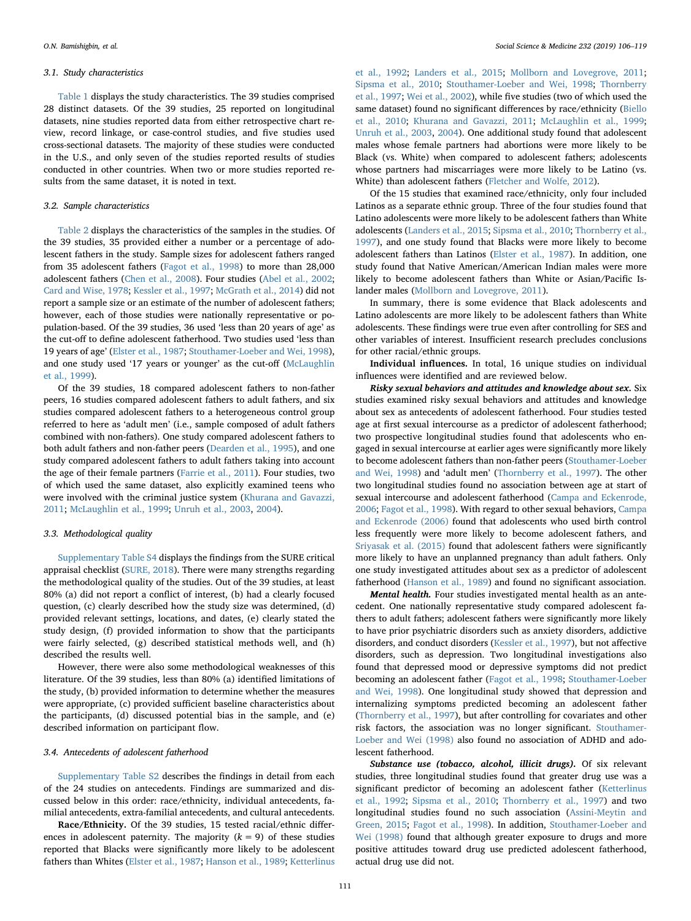#### 3.1. Study characteristics

[Table 1](#page-3-0) displays the study characteristics. The 39 studies comprised 28 distinct datasets. Of the 39 studies, 25 reported on longitudinal datasets, nine studies reported data from either retrospective chart review, record linkage, or case-control studies, and five studies used cross-sectional datasets. The majority of these studies were conducted in the U.S., and only seven of the studies reported results of studies conducted in other countries. When two or more studies reported results from the same dataset, it is noted in text.

#### 3.2. Sample characteristics

[Table 2](#page-4-0) displays the characteristics of the samples in the studies. Of the 39 studies, 35 provided either a number or a percentage of adolescent fathers in the study. Sample sizes for adolescent fathers ranged from 35 adolescent fathers [\(Fagot et al., 1998](#page-12-5)) to more than 28,000 adolescent fathers [\(Chen et al., 2008](#page-12-6)). Four studies ([Abel et al., 2002](#page-12-7); [Card and Wise, 1978;](#page-12-8) [Kessler et al., 1997;](#page-13-12) [McGrath et al., 2014](#page-13-13)) did not report a sample size or an estimate of the number of adolescent fathers; however, each of those studies were nationally representative or population-based. Of the 39 studies, 36 used 'less than 20 years of age' as the cut-off to define adolescent fatherhood. Two studies used 'less than 19 years of age' [\(Elster et al., 1987;](#page-12-9) [Stouthamer-Loeber and Wei, 1998](#page-13-14)), and one study used '17 years or younger' as the cut-off [\(McLaughlin](#page-13-15) [et al., 1999](#page-13-15)).

Of the 39 studies, 18 compared adolescent fathers to non-father peers, 16 studies compared adolescent fathers to adult fathers, and six studies compared adolescent fathers to a heterogeneous control group referred to here as 'adult men' (i.e., sample composed of adult fathers combined with non-fathers). One study compared adolescent fathers to both adult fathers and non-father peers [\(Dearden et al., 1995](#page-12-10)), and one study compared adolescent fathers to adult fathers taking into account the age of their female partners ([Farrie et al., 2011\)](#page-12-11). Four studies, two of which used the same dataset, also explicitly examined teens who were involved with the criminal justice system [\(Khurana and Gavazzi,](#page-13-16) [2011;](#page-13-16) [McLaughlin et al., 1999](#page-13-15); [Unruh et al., 2003](#page-13-17), [2004](#page-13-18)).

### 3.3. Methodological quality

Supplementary Table S4 displays the findings from the SURE critical appraisal checklist ([SURE, 2018\)](#page-13-19). There were many strengths regarding the methodological quality of the studies. Out of the 39 studies, at least 80% (a) did not report a conflict of interest, (b) had a clearly focused question, (c) clearly described how the study size was determined, (d) provided relevant settings, locations, and dates, (e) clearly stated the study design, (f) provided information to show that the participants were fairly selected, (g) described statistical methods well, and (h) described the results well.

However, there were also some methodological weaknesses of this literature. Of the 39 studies, less than 80% (a) identified limitations of the study, (b) provided information to determine whether the measures were appropriate, (c) provided sufficient baseline characteristics about the participants, (d) discussed potential bias in the sample, and (e) described information on participant flow.

## 3.4. Antecedents of adolescent fatherhood

Supplementary Table S2 describes the findings in detail from each of the 24 studies on antecedents. Findings are summarized and discussed below in this order: race/ethnicity, individual antecedents, familial antecedents, extra-familial antecedents, and cultural antecedents.

Race/Ethnicity. Of the 39 studies, 15 tested racial/ethnic differences in adolescent paternity. The majority  $(k = 9)$  of these studies reported that Blacks were significantly more likely to be adolescent fathers than Whites [\(Elster et al., 1987](#page-12-9); [Hanson et al., 1989;](#page-13-20) [Ketterlinus](#page-13-21)

[et al., 1992;](#page-13-21) [Landers et al., 2015;](#page-13-22) [Mollborn and Lovegrove, 2011](#page-13-23); [Sipsma et al., 2010;](#page-13-24) [Stouthamer-Loeber and Wei, 1998](#page-13-14); [Thornberry](#page-13-25) [et al., 1997](#page-13-25); [Wei et al., 2002](#page-13-26)), while five studies (two of which used the same dataset) found no significant differences by race/ethnicity [\(Biello](#page-12-12) [et al., 2010](#page-12-12); [Khurana and Gavazzi, 2011;](#page-13-16) [McLaughlin et al., 1999](#page-13-15); [Unruh et al., 2003,](#page-13-17) [2004](#page-13-18)). One additional study found that adolescent males whose female partners had abortions were more likely to be Black (vs. White) when compared to adolescent fathers; adolescents whose partners had miscarriages were more likely to be Latino (vs. White) than adolescent fathers [\(Fletcher and Wolfe, 2012\)](#page-12-13).

Of the 15 studies that examined race/ethnicity, only four included Latinos as a separate ethnic group. Three of the four studies found that Latino adolescents were more likely to be adolescent fathers than White adolescents ([Landers et al., 2015;](#page-13-22) [Sipsma et al., 2010;](#page-13-24) [Thornberry et al.,](#page-13-25) [1997\)](#page-13-25), and one study found that Blacks were more likely to become adolescent fathers than Latinos ([Elster et al., 1987\)](#page-12-9). In addition, one study found that Native American/American Indian males were more likely to become adolescent fathers than White or Asian/Pacific Islander males ([Mollborn and Lovegrove, 2011\)](#page-13-23).

In summary, there is some evidence that Black adolescents and Latino adolescents are more likely to be adolescent fathers than White adolescents. These findings were true even after controlling for SES and other variables of interest. Insufficient research precludes conclusions for other racial/ethnic groups.

Individual influences. In total, 16 unique studies on individual influences were identified and are reviewed below.

Risky sexual behaviors and attitudes and knowledge about sex. Six studies examined risky sexual behaviors and attitudes and knowledge about sex as antecedents of adolescent fatherhood. Four studies tested age at first sexual intercourse as a predictor of adolescent fatherhood; two prospective longitudinal studies found that adolescents who engaged in sexual intercourse at earlier ages were significantly more likely to become adolescent fathers than non-father peers [\(Stouthamer-Loeber](#page-13-14) [and Wei, 1998\)](#page-13-14) and 'adult men' [\(Thornberry et al., 1997](#page-13-25)). The other two longitudinal studies found no association between age at start of sexual intercourse and adolescent fatherhood [\(Campa and Eckenrode,](#page-12-14) [2006;](#page-12-14) [Fagot et al., 1998\)](#page-12-5). With regard to other sexual behaviors, [Campa](#page-12-14) [and Eckenrode \(2006\)](#page-12-14) found that adolescents who used birth control less frequently were more likely to become adolescent fathers, and [Sriyasak et al. \(2015\)](#page-13-27) found that adolescent fathers were significantly more likely to have an unplanned pregnancy than adult fathers. Only one study investigated attitudes about sex as a predictor of adolescent fatherhood ([Hanson et al., 1989\)](#page-13-20) and found no significant association.

Mental health. Four studies investigated mental health as an antecedent. One nationally representative study compared adolescent fathers to adult fathers; adolescent fathers were significantly more likely to have prior psychiatric disorders such as anxiety disorders, addictive disorders, and conduct disorders ([Kessler et al., 1997\)](#page-13-12), but not affective disorders, such as depression. Two longitudinal investigations also found that depressed mood or depressive symptoms did not predict becoming an adolescent father ([Fagot et al., 1998](#page-12-5); [Stouthamer-Loeber](#page-13-14) [and Wei, 1998\)](#page-13-14). One longitudinal study showed that depression and internalizing symptoms predicted becoming an adolescent father ([Thornberry et al., 1997](#page-13-25)), but after controlling for covariates and other risk factors, the association was no longer significant. [Stouthamer-](#page-13-14)[Loeber and Wei \(1998\)](#page-13-14) also found no association of ADHD and adolescent fatherhood.

Substance use (tobacco, alcohol, illicit drugs). Of six relevant studies, three longitudinal studies found that greater drug use was a significant predictor of becoming an adolescent father [\(Ketterlinus](#page-13-21) [et al., 1992;](#page-13-21) [Sipsma et al., 2010;](#page-13-24) [Thornberry et al., 1997\)](#page-13-25) and two longitudinal studies found no such association [\(Assini-Meytin and](#page-12-15) [Green, 2015;](#page-12-15) [Fagot et al., 1998\)](#page-12-5). In addition, [Stouthamer-Loeber and](#page-13-14) [Wei \(1998\)](#page-13-14) found that although greater exposure to drugs and more positive attitudes toward drug use predicted adolescent fatherhood, actual drug use did not.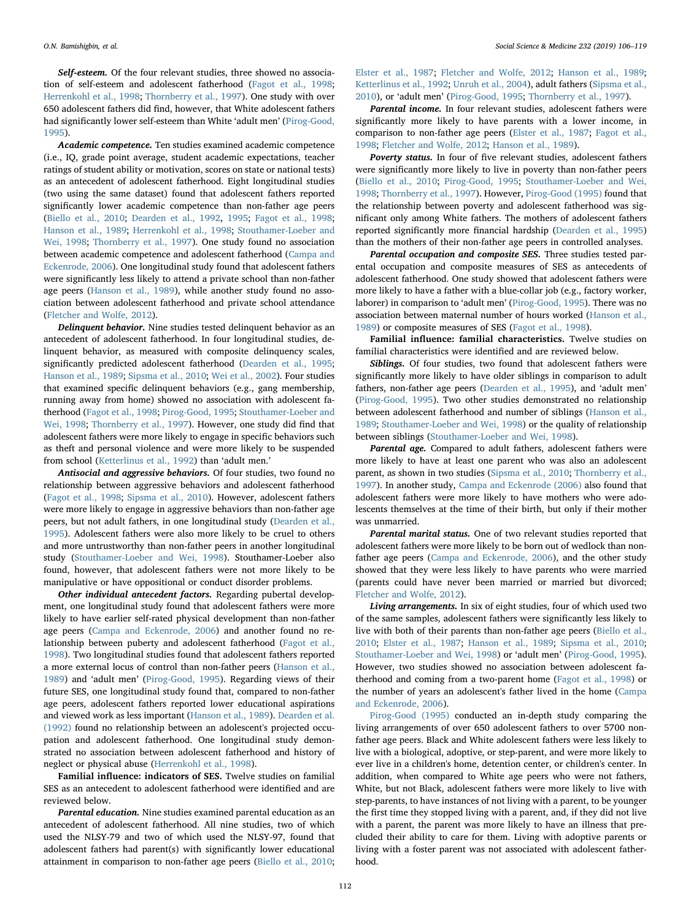Self-esteem. Of the four relevant studies, three showed no association of self-esteem and adolescent fatherhood [\(Fagot et al., 1998](#page-12-5); [Herrenkohl et al., 1998;](#page-13-28) [Thornberry et al., 1997](#page-13-25)). One study with over 650 adolescent fathers did find, however, that White adolescent fathers had significantly lower self-esteem than White 'adult men' ([Pirog-Good,](#page-13-29) [1995\)](#page-13-29).

Academic competence. Ten studies examined academic competence (i.e., IQ, grade point average, student academic expectations, teacher ratings of student ability or motivation, scores on state or national tests) as an antecedent of adolescent fatherhood. Eight longitudinal studies (two using the same dataset) found that adolescent fathers reported significantly lower academic competence than non-father age peers ([Biello et al., 2010;](#page-12-12) [Dearden et al., 1992](#page-12-16), [1995](#page-12-10); [Fagot et al., 1998](#page-12-5); [Hanson et al., 1989](#page-13-20); [Herrenkohl et al., 1998;](#page-13-28) [Stouthamer-Loeber and](#page-13-14) [Wei, 1998;](#page-13-14) [Thornberry et al., 1997\)](#page-13-25). One study found no association between academic competence and adolescent fatherhood ([Campa and](#page-12-14) [Eckenrode, 2006\)](#page-12-14). One longitudinal study found that adolescent fathers were significantly less likely to attend a private school than non-father age peers [\(Hanson et al., 1989](#page-13-20)), while another study found no association between adolescent fatherhood and private school attendance ([Fletcher and Wolfe, 2012](#page-12-13)).

Delinquent behavior. Nine studies tested delinquent behavior as an antecedent of adolescent fatherhood. In four longitudinal studies, delinquent behavior, as measured with composite delinquency scales, significantly predicted adolescent fatherhood [\(Dearden et al., 1995](#page-12-10); [Hanson et al., 1989](#page-13-20); [Sipsma et al., 2010;](#page-13-24) [Wei et al., 2002](#page-13-26)). Four studies that examined specific delinquent behaviors (e.g., gang membership, running away from home) showed no association with adolescent fatherhood ([Fagot et al., 1998;](#page-12-5) [Pirog-Good, 1995](#page-13-29); [Stouthamer-Loeber and](#page-13-14) [Wei, 1998](#page-13-14); [Thornberry et al., 1997](#page-13-25)). However, one study did find that adolescent fathers were more likely to engage in specific behaviors such as theft and personal violence and were more likely to be suspended from school [\(Ketterlinus et al., 1992](#page-13-21)) than 'adult men.'

Antisocial and aggressive behaviors. Of four studies, two found no relationship between aggressive behaviors and adolescent fatherhood ([Fagot et al., 1998;](#page-12-5) [Sipsma et al., 2010](#page-13-24)). However, adolescent fathers were more likely to engage in aggressive behaviors than non-father age peers, but not adult fathers, in one longitudinal study [\(Dearden et al.,](#page-12-10) [1995\)](#page-12-10). Adolescent fathers were also more likely to be cruel to others and more untrustworthy than non-father peers in another longitudinal study [\(Stouthamer-Loeber and Wei, 1998\)](#page-13-14). Stouthamer-Loeber also found, however, that adolescent fathers were not more likely to be manipulative or have oppositional or conduct disorder problems.

Other individual antecedent factors. Regarding pubertal development, one longitudinal study found that adolescent fathers were more likely to have earlier self-rated physical development than non-father age peers [\(Campa and Eckenrode, 2006](#page-12-14)) and another found no relationship between puberty and adolescent fatherhood [\(Fagot et al.,](#page-12-5) [1998\)](#page-12-5). Two longitudinal studies found that adolescent fathers reported a more external locus of control than non-father peers ([Hanson et al.,](#page-13-20) [1989\)](#page-13-20) and 'adult men' [\(Pirog-Good, 1995\)](#page-13-29). Regarding views of their future SES, one longitudinal study found that, compared to non-father age peers, adolescent fathers reported lower educational aspirations and viewed work as less important [\(Hanson et al., 1989](#page-13-20)). [Dearden et al.](#page-12-16) [\(1992\)](#page-12-16) found no relationship between an adolescent's projected occupation and adolescent fatherhood. One longitudinal study demonstrated no association between adolescent fatherhood and history of neglect or physical abuse [\(Herrenkohl et al., 1998\)](#page-13-28).

Familial influence: indicators of SES. Twelve studies on familial SES as an antecedent to adolescent fatherhood were identified and are reviewed below.

Parental education. Nine studies examined parental education as an antecedent of adolescent fatherhood. All nine studies, two of which used the NLSY-79 and two of which used the NLSY-97, found that adolescent fathers had parent(s) with significantly lower educational attainment in comparison to non-father age peers ([Biello et al., 2010](#page-12-12);

[Elster et al., 1987](#page-12-9); [Fletcher and Wolfe, 2012](#page-12-13); [Hanson et al., 1989](#page-13-20); [Ketterlinus et al., 1992](#page-13-21); [Unruh et al., 2004\)](#page-13-18), adult fathers [\(Sipsma et al.,](#page-13-24) [2010\)](#page-13-24), or 'adult men' [\(Pirog-Good, 1995;](#page-13-29) [Thornberry et al., 1997](#page-13-25)).

Parental income. In four relevant studies, adolescent fathers were significantly more likely to have parents with a lower income, in comparison to non-father age peers [\(Elster et al., 1987](#page-12-9); Fagot [et al.,](#page-12-5) [1998;](#page-12-5) [Fletcher and Wolfe, 2012;](#page-12-13) [Hanson et al., 1989\)](#page-13-20).

Poverty status. In four of five relevant studies, adolescent fathers were significantly more likely to live in poverty than non-father peers ([Biello et al., 2010](#page-12-12); [Pirog-Good, 1995](#page-13-29); [Stouthamer-Loeber and Wei,](#page-13-14) [1998;](#page-13-14) [Thornberry et al., 1997](#page-13-25)). However, [Pirog-Good \(1995\)](#page-13-29) found that the relationship between poverty and adolescent fatherhood was significant only among White fathers. The mothers of adolescent fathers reported significantly more financial hardship ([Dearden et al., 1995\)](#page-12-10) than the mothers of their non-father age peers in controlled analyses.

Parental occupation and composite SES. Three studies tested parental occupation and composite measures of SES as antecedents of adolescent fatherhood. One study showed that adolescent fathers were more likely to have a father with a blue-collar job (e.g., factory worker, laborer) in comparison to 'adult men' ([Pirog-Good, 1995\)](#page-13-29). There was no association between maternal number of hours worked [\(Hanson et al.,](#page-13-20) [1989\)](#page-13-20) or composite measures of SES [\(Fagot et al., 1998](#page-12-5)).

Familial influence: familial characteristics. Twelve studies on familial characteristics were identified and are reviewed below.

Siblings. Of four studies, two found that adolescent fathers were significantly more likely to have older siblings in comparison to adult fathers, non-father age peers ([Dearden et al., 1995\)](#page-12-10), and 'adult men' ([Pirog-Good, 1995](#page-13-29)). Two other studies demonstrated no relationship between adolescent fatherhood and number of siblings [\(Hanson et al.,](#page-13-20) [1989;](#page-13-20) [Stouthamer-Loeber and Wei, 1998\)](#page-13-14) or the quality of relationship between siblings [\(Stouthamer-Loeber and Wei, 1998\)](#page-13-14).

Parental age. Compared to adult fathers, adolescent fathers were more likely to have at least one parent who was also an adolescent parent, as shown in two studies [\(Sipsma et al., 2010;](#page-13-24) [Thornberry et al.,](#page-13-25) [1997\)](#page-13-25). In another study, [Campa and Eckenrode \(2006\)](#page-12-14) also found that adolescent fathers were more likely to have mothers who were adolescents themselves at the time of their birth, but only if their mother was unmarried.

Parental marital status. One of two relevant studies reported that adolescent fathers were more likely to be born out of wedlock than nonfather age peers ([Campa and Eckenrode, 2006\)](#page-12-14), and the other study showed that they were less likely to have parents who were married (parents could have never been married or married but divorced; [Fletcher and Wolfe, 2012](#page-12-13)).

Living arrangements. In six of eight studies, four of which used two of the same samples, adolescent fathers were significantly less likely to live with both of their parents than non-father age peers ([Biello et al.,](#page-12-12) [2010;](#page-12-12) [Elster et al., 1987;](#page-12-9) [Hanson et al., 1989](#page-13-20); [Sipsma et al., 2010](#page-13-24); [Stouthamer-Loeber and Wei, 1998\)](#page-13-14) or 'adult men' ([Pirog-Good, 1995](#page-13-29)). However, two studies showed no association between adolescent fatherhood and coming from a two-parent home [\(Fagot et al., 1998](#page-12-5)) or the number of years an adolescent's father lived in the home [\(Campa](#page-12-14) [and Eckenrode, 2006](#page-12-14)).

[Pirog-Good \(1995\)](#page-13-29) conducted an in-depth study comparing the living arrangements of over 650 adolescent fathers to over 5700 nonfather age peers. Black and White adolescent fathers were less likely to live with a biological, adoptive, or step-parent, and were more likely to ever live in a children's home, detention center, or children's center. In addition, when compared to White age peers who were not fathers, White, but not Black, adolescent fathers were more likely to live with step-parents, to have instances of not living with a parent, to be younger the first time they stopped living with a parent, and, if they did not live with a parent, the parent was more likely to have an illness that precluded their ability to care for them. Living with adoptive parents or living with a foster parent was not associated with adolescent fatherhood.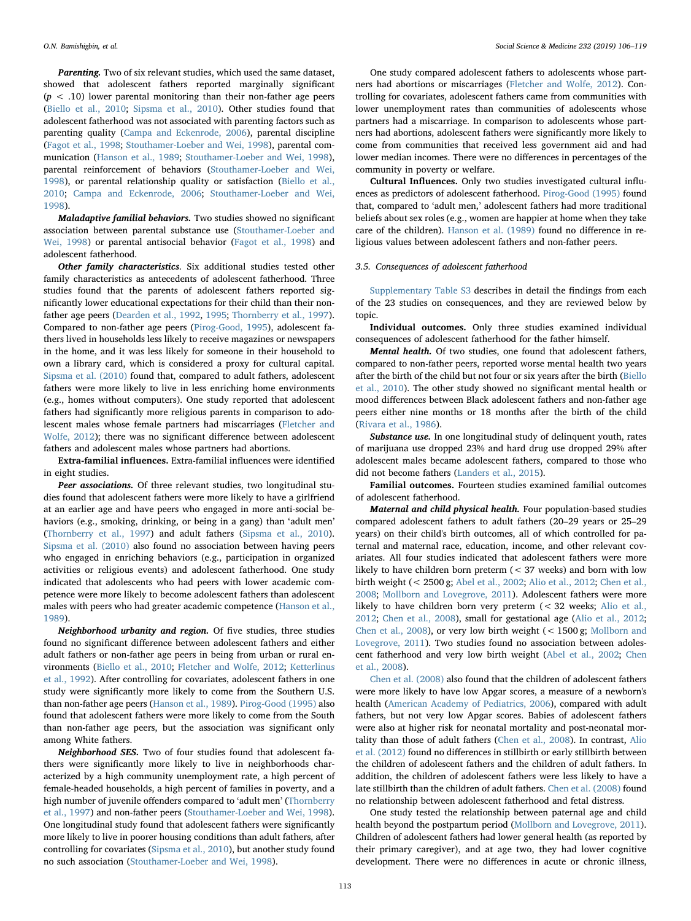Parenting. Two of six relevant studies, which used the same dataset, showed that adolescent fathers reported marginally significant  $(p < .10)$  lower parental monitoring than their non-father age peers ([Biello et al., 2010;](#page-12-12) [Sipsma et al., 2010\)](#page-13-24). Other studies found that adolescent fatherhood was not associated with parenting factors such as parenting quality ([Campa and Eckenrode, 2006\)](#page-12-14), parental discipline ([Fagot et al., 1998;](#page-12-5) [Stouthamer-Loeber and Wei, 1998](#page-13-14)), parental communication ([Hanson et al., 1989;](#page-13-20) [Stouthamer-Loeber and Wei, 1998](#page-13-14)), parental reinforcement of behaviors ([Stouthamer-Loeber and Wei,](#page-13-14) [1998\)](#page-13-14), or parental relationship quality or satisfaction ([Biello et al.,](#page-12-12) [2010;](#page-12-12) [Campa and Eckenrode, 2006;](#page-12-14) [Stouthamer-Loeber and Wei,](#page-13-14) [1998\)](#page-13-14).

Maladaptive familial behaviors. Two studies showed no significant association between parental substance use [\(Stouthamer-Loeber and](#page-13-14) [Wei, 1998](#page-13-14)) or parental antisocial behavior [\(Fagot et al., 1998\)](#page-12-5) and adolescent fatherhood.

Other family characteristics. Six additional studies tested other family characteristics as antecedents of adolescent fatherhood. Three studies found that the parents of adolescent fathers reported significantly lower educational expectations for their child than their nonfather age peers ([Dearden et al., 1992,](#page-12-16) [1995](#page-12-10); [Thornberry et al., 1997](#page-13-25)). Compared to non-father age peers [\(Pirog-Good, 1995\)](#page-13-29), adolescent fathers lived in households less likely to receive magazines or newspapers in the home, and it was less likely for someone in their household to own a library card, which is considered a proxy for cultural capital. [Sipsma et al. \(2010\)](#page-13-24) found that, compared to adult fathers, adolescent fathers were more likely to live in less enriching home environments (e.g., homes without computers). One study reported that adolescent fathers had significantly more religious parents in comparison to adolescent males whose female partners had miscarriages [\(Fletcher and](#page-12-13) [Wolfe, 2012\)](#page-12-13); there was no significant difference between adolescent fathers and adolescent males whose partners had abortions.

Extra-familial influences. Extra-familial influences were identified in eight studies.

Peer associations. Of three relevant studies, two longitudinal studies found that adolescent fathers were more likely to have a girlfriend at an earlier age and have peers who engaged in more anti-social behaviors (e.g., smoking, drinking, or being in a gang) than 'adult men' ([Thornberry et al., 1997\)](#page-13-25) and adult fathers [\(Sipsma et al., 2010](#page-13-24)). [Sipsma et al. \(2010\)](#page-13-24) also found no association between having peers who engaged in enriching behaviors (e.g., participation in organized activities or religious events) and adolescent fatherhood. One study indicated that adolescents who had peers with lower academic competence were more likely to become adolescent fathers than adolescent males with peers who had greater academic competence [\(Hanson et al.,](#page-13-20) [1989\)](#page-13-20).

Neighborhood urbanity and region. Of five studies, three studies found no significant difference between adolescent fathers and either adult fathers or non-father age peers in being from urban or rural environments [\(Biello et al., 2010](#page-12-12); [Fletcher and Wolfe, 2012;](#page-12-13) [Ketterlinus](#page-13-21) [et al., 1992](#page-13-21)). After controlling for covariates, adolescent fathers in one study were significantly more likely to come from the Southern U.S. than non-father age peers ([Hanson et al., 1989\)](#page-13-20). [Pirog-Good \(1995\)](#page-13-29) also found that adolescent fathers were more likely to come from the South than non-father age peers, but the association was significant only among White fathers.

Neighborhood SES. Two of four studies found that adolescent fathers were significantly more likely to live in neighborhoods characterized by a high community unemployment rate, a high percent of female-headed households, a high percent of families in poverty, and a high number of juvenile offenders compared to 'adult men' ([Thornberry](#page-13-25) [et al., 1997\)](#page-13-25) and non-father peers ([Stouthamer-Loeber and Wei, 1998](#page-13-14)). One longitudinal study found that adolescent fathers were significantly more likely to live in poorer housing conditions than adult fathers, after controlling for covariates ([Sipsma et al., 2010](#page-13-24)), but another study found no such association [\(Stouthamer-Loeber and Wei, 1998\)](#page-13-14).

One study compared adolescent fathers to adolescents whose partners had abortions or miscarriages ([Fletcher and Wolfe, 2012\)](#page-12-13). Controlling for covariates, adolescent fathers came from communities with lower unemployment rates than communities of adolescents whose partners had a miscarriage. In comparison to adolescents whose partners had abortions, adolescent fathers were significantly more likely to come from communities that received less government aid and had lower median incomes. There were no differences in percentages of the community in poverty or welfare.

Cultural Influences. Only two studies investigated cultural influences as predictors of adolescent fatherhood. [Pirog-Good \(1995\)](#page-13-29) found that, compared to 'adult men,' adolescent fathers had more traditional beliefs about sex roles (e.g., women are happier at home when they take care of the children). [Hanson et al. \(1989\)](#page-13-20) found no difference in religious values between adolescent fathers and non-father peers.

## 3.5. Consequences of adolescent fatherhood

Supplementary Table S3 describes in detail the findings from each of the 23 studies on consequences, and they are reviewed below by topic.

Individual outcomes. Only three studies examined individual consequences of adolescent fatherhood for the father himself.

Mental health. Of two studies, one found that adolescent fathers, compared to non-father peers, reported worse mental health two years after the birth of the child but not four or six years after the birth [\(Biello](#page-12-12) [et al., 2010](#page-12-12)). The other study showed no significant mental health or mood differences between Black adolescent fathers and non-father age peers either nine months or 18 months after the birth of the child ([Rivara et al., 1986](#page-13-30)).

Substance use. In one longitudinal study of delinquent youth, rates of marijuana use dropped 23% and hard drug use dropped 29% after adolescent males became adolescent fathers, compared to those who did not become fathers [\(Landers et al., 2015](#page-13-22)).

Familial outcomes. Fourteen studies examined familial outcomes of adolescent fatherhood.

Maternal and child physical health. Four population-based studies compared adolescent fathers to adult fathers (20–29 years or 25–29 years) on their child's birth outcomes, all of which controlled for paternal and maternal race, education, income, and other relevant covariates. All four studies indicated that adolescent fathers were more likely to have children born preterm (< 37 weeks) and born with low birth weight (< 2500 g; [Abel et al., 2002;](#page-12-7) [Alio et al., 2012](#page-12-17); [Chen et al.,](#page-12-6) [2008;](#page-12-6) [Mollborn and Lovegrove, 2011\)](#page-13-23). Adolescent fathers were more likely to have children born very preterm (< 32 weeks; [Alio et al.,](#page-12-17) [2012;](#page-12-17) [Chen et al., 2008\)](#page-12-6), small for gestational age [\(Alio et al., 2012](#page-12-17); [Chen et al., 2008\)](#page-12-6), or very low birth weight (< 1500 g; [Mollborn and](#page-13-23) [Lovegrove, 2011\)](#page-13-23). Two studies found no association between adolescent fatherhood and very low birth weight [\(Abel et al., 2002;](#page-12-7) [Chen](#page-12-6) [et al., 2008](#page-12-6)).

[Chen et al. \(2008\)](#page-12-6) also found that the children of adolescent fathers were more likely to have low Apgar scores, a measure of a newborn's health ([American Academy of Pediatrics, 2006\)](#page-12-18), compared with adult fathers, but not very low Apgar scores. Babies of adolescent fathers were also at higher risk for neonatal mortality and post-neonatal mortality than those of adult fathers [\(Chen et al., 2008\)](#page-12-6). In contrast, [Alio](#page-12-17) [et al. \(2012\)](#page-12-17) found no differences in stillbirth or early stillbirth between the children of adolescent fathers and the children of adult fathers. In addition, the children of adolescent fathers were less likely to have a late stillbirth than the children of adult fathers. [Chen et al. \(2008\)](#page-12-6) found no relationship between adolescent fatherhood and fetal distress.

One study tested the relationship between paternal age and child health beyond the postpartum period [\(Mollborn and Lovegrove, 2011](#page-13-23)). Children of adolescent fathers had lower general health (as reported by their primary caregiver), and at age two, they had lower cognitive development. There were no differences in acute or chronic illness,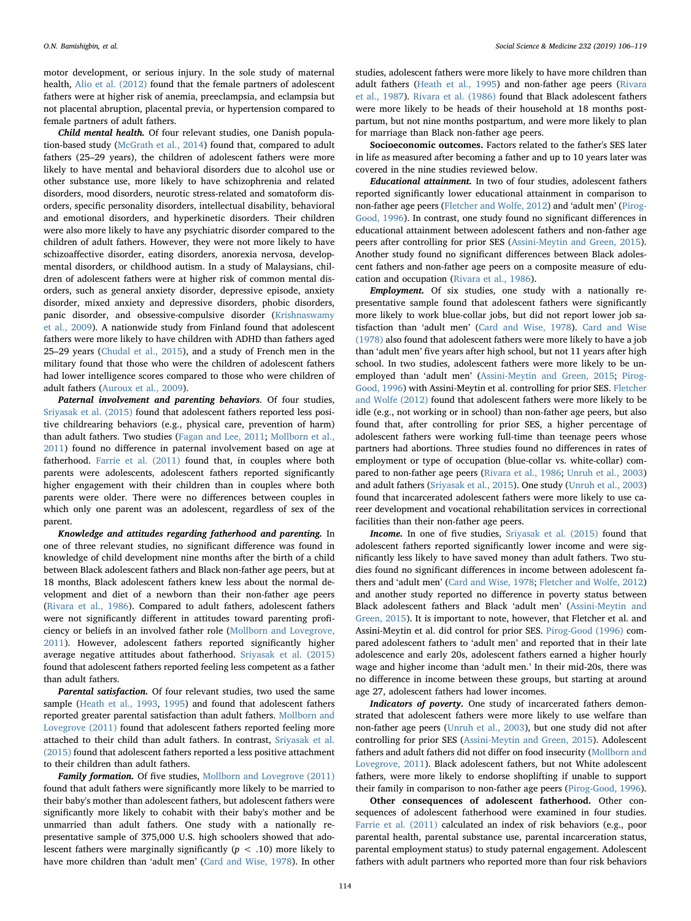motor development, or serious injury. In the sole study of maternal health, [Alio et al. \(2012\)](#page-12-17) found that the female partners of adolescent fathers were at higher risk of anemia, preeclampsia, and eclampsia but not placental abruption, placental previa, or hypertension compared to female partners of adult fathers.

Child mental health. Of four relevant studies, one Danish population-based study ([McGrath et al., 2014\)](#page-13-13) found that, compared to adult fathers (25–29 years), the children of adolescent fathers were more likely to have mental and behavioral disorders due to alcohol use or other substance use, more likely to have schizophrenia and related disorders, mood disorders, neurotic stress-related and somatoform disorders, specific personality disorders, intellectual disability, behavioral and emotional disorders, and hyperkinetic disorders. Their children were also more likely to have any psychiatric disorder compared to the children of adult fathers. However, they were not more likely to have schizoaffective disorder, eating disorders, anorexia nervosa, developmental disorders, or childhood autism. In a study of Malaysians, children of adolescent fathers were at higher risk of common mental disorders, such as general anxiety disorder, depressive episode, anxiety disorder, mixed anxiety and depressive disorders, phobic disorders, panic disorder, and obsessive-compulsive disorder [\(Krishnaswamy](#page-13-31) [et al., 2009](#page-13-31)). A nationwide study from Finland found that adolescent fathers were more likely to have children with ADHD than fathers aged 25–29 years [\(Chudal et al., 2015](#page-12-19)), and a study of French men in the military found that those who were the children of adolescent fathers had lower intelligence scores compared to those who were children of adult fathers [\(Auroux et al., 2009\)](#page-12-20).

Paternal involvement and parenting behaviors. Of four studies, [Sriyasak et al. \(2015\)](#page-13-27) found that adolescent fathers reported less positive childrearing behaviors (e.g., physical care, prevention of harm) than adult fathers. Two studies [\(Fagan and Lee, 2011](#page-12-21); [Mollborn et al.,](#page-13-23) [2011\)](#page-13-23) found no difference in paternal involvement based on age at fatherhood. [Farrie et al. \(2011\)](#page-12-11) found that, in couples where both parents were adolescents, adolescent fathers reported significantly higher engagement with their children than in couples where both parents were older. There were no differences between couples in which only one parent was an adolescent, regardless of sex of the parent.

Knowledge and attitudes regarding fatherhood and parenting. In one of three relevant studies, no significant difference was found in knowledge of child development nine months after the birth of a child between Black adolescent fathers and Black non-father age peers, but at 18 months, Black adolescent fathers knew less about the normal development and diet of a newborn than their non-father age peers ([Rivara et al., 1986\)](#page-13-30). Compared to adult fathers, adolescent fathers were not significantly different in attitudes toward parenting proficiency or beliefs in an involved father role [\(Mollborn and Lovegrove,](#page-13-23) [2011\)](#page-13-23). However, adolescent fathers reported significantly higher average negative attitudes about fatherhood. [Sriyasak et al. \(2015\)](#page-13-27) found that adolescent fathers reported feeling less competent as a father than adult fathers.

Parental satisfaction. Of four relevant studies, two used the same sample ([Heath et al., 1993,](#page-13-32) [1995](#page-13-33)) and found that adolescent fathers reported greater parental satisfaction than adult fathers. [Mollborn and](#page-13-23) [Lovegrove \(2011\)](#page-13-23) found that adolescent fathers reported feeling more attached to their child than adult fathers. In contrast, [Sriyasak et al.](#page-13-27) [\(2015\)](#page-13-27) found that adolescent fathers reported a less positive attachment to their children than adult fathers.

Family formation. Of five studies, [Mollborn and Lovegrove \(2011\)](#page-13-23) found that adult fathers were significantly more likely to be married to their baby's mother than adolescent fathers, but adolescent fathers were significantly more likely to cohabit with their baby's mother and be unmarried than adult fathers. One study with a nationally representative sample of 375,000 U.S. high schoolers showed that adolescent fathers were marginally significantly ( $p < .10$ ) more likely to have more children than 'adult men' ([Card and Wise, 1978\)](#page-12-8). In other

studies, adolescent fathers were more likely to have more children than adult fathers ([Heath et al., 1995](#page-13-33)) and non-father age peers ([Rivara](#page-13-34) [et al., 1987](#page-13-34)). [Rivara et al. \(1986\)](#page-13-30) found that Black adolescent fathers were more likely to be heads of their household at 18 months postpartum, but not nine months postpartum, and were more likely to plan for marriage than Black non-father age peers.

Socioeconomic outcomes. Factors related to the father's SES later in life as measured after becoming a father and up to 10 years later was covered in the nine studies reviewed below.

Educational attainment. In two of four studies, adolescent fathers reported significantly lower educational attainment in comparison to non-father age peers [\(Fletcher and Wolfe, 2012\)](#page-12-13) and 'adult men' [\(Pirog-](#page-13-35)[Good, 1996](#page-13-35)). In contrast, one study found no significant differences in educational attainment between adolescent fathers and non-father age peers after controlling for prior SES [\(Assini-Meytin and Green, 2015](#page-12-15)). Another study found no significant differences between Black adolescent fathers and non-father age peers on a composite measure of education and occupation [\(Rivara et al., 1986\)](#page-13-30).

Employment. Of six studies, one study with a nationally representative sample found that adolescent fathers were significantly more likely to work blue-collar jobs, but did not report lower job satisfaction than 'adult men' (Card [and Wise, 1978\)](#page-12-8). [Card and Wise](#page-12-8) [\(1978\)](#page-12-8) also found that adolescent fathers were more likely to have a job than 'adult men' five years after high school, but not 11 years after high school. In two studies, adolescent fathers were more likely to be unemployed than 'adult men' [\(Assini-Meytin and Green, 2015;](#page-12-15) [Pirog-](#page-13-35)[Good, 1996](#page-13-35)) with Assini-Meytin et al. controlling for prior SES. [Fletcher](#page-12-13) [and Wolfe \(2012\)](#page-12-13) found that adolescent fathers were more likely to be idle (e.g., not working or in school) than non-father age peers, but also found that, after controlling for prior SES, a higher percentage of adolescent fathers were working full-time than teenage peers whose partners had abortions. Three studies found no differences in rates of employment or type of occupation (blue-collar vs. white-collar) compared to non-father age peers ([Rivara et al., 1986;](#page-13-30) [Unruh et al., 2003\)](#page-13-17) and adult fathers [\(Sriyasak et al., 2015\)](#page-13-27). One study [\(Unruh et al., 2003\)](#page-13-17) found that incarcerated adolescent fathers were more likely to use career development and vocational rehabilitation services in correctional facilities than their non-father age peers.

Income. In one of five studies, [Sriyasak et al. \(2015\)](#page-13-27) found that adolescent fathers reported significantly lower income and were significantly less likely to have saved money than adult fathers. Two studies found no significant differences in income between adolescent fathers and 'adult men' ([Card and Wise, 1978;](#page-12-8) [Fletcher and Wolfe, 2012\)](#page-12-13) and another study reported no difference in poverty status between Black adolescent fathers and Black 'adult men' ([Assini-Meytin and](#page-12-15) [Green, 2015](#page-12-15)). It is important to note, however, that Fletcher et al. and Assini-Meytin et al. did control for prior SES. [Pirog-Good \(1996\)](#page-13-35) compared adolescent fathers to 'adult men' and reported that in their late adolescence and early 20s, adolescent fathers earned a higher hourly wage and higher income than 'adult men.' In their mid-20s, there was no difference in income between these groups, but starting at around age 27, adolescent fathers had lower incomes.

Indicators of poverty. One study of incarcerated fathers demonstrated that adolescent fathers were more likely to use welfare than non-father age peers ([Unruh et al., 2003](#page-13-17)), but one study did not after controlling for prior SES ([Assini-Meytin and Green, 2015](#page-12-15)). Adolescent fathers and adult fathers did not differ on food insecurity [\(Mollborn and](#page-13-23) [Lovegrove, 2011](#page-13-23)). Black adolescent fathers, but not White adolescent fathers, were more likely to endorse shoplifting if unable to support their family in comparison to non-father age peers ([Pirog-Good, 1996](#page-13-35)).

Other consequences of adolescent fatherhood. Other consequences of adolescent fatherhood were examined in four studies. [Farrie et al. \(2011\)](#page-12-11) calculated an index of risk behaviors (e.g., poor parental health, parental substance use, parental incarceration status, parental employment status) to study paternal engagement. Adolescent fathers with adult partners who reported more than four risk behaviors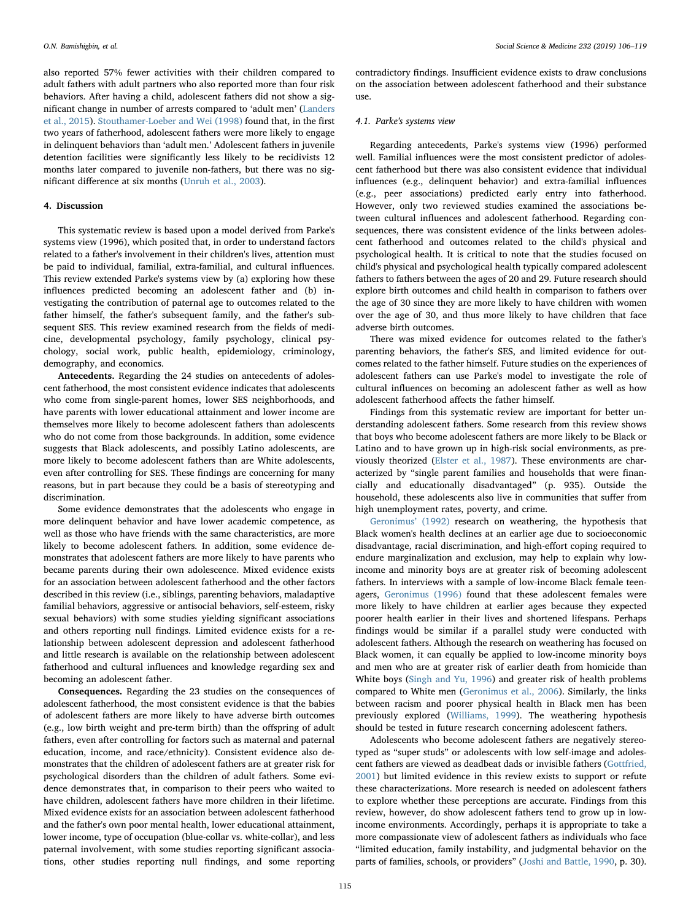also reported 57% fewer activities with their children compared to adult fathers with adult partners who also reported more than four risk behaviors. After having a child, adolescent fathers did not show a significant change in number of arrests compared to 'adult men' [\(Landers](#page-13-22) [et al., 2015](#page-13-22)). [Stouthamer-Loeber and Wei \(1998\)](#page-13-14) found that, in the first two years of fatherhood, adolescent fathers were more likely to engage in delinquent behaviors than 'adult men.' Adolescent fathers in juvenile detention facilities were significantly less likely to be recidivists 12 months later compared to juvenile non-fathers, but there was no significant difference at six months ([Unruh et al., 2003](#page-13-17)).

### 4. Discussion

This systematic review is based upon a model derived from Parke's systems view (1996), which posited that, in order to understand factors related to a father's involvement in their children's lives, attention must be paid to individual, familial, extra-familial, and cultural influences. This review extended Parke's systems view by (a) exploring how these influences predicted becoming an adolescent father and (b) investigating the contribution of paternal age to outcomes related to the father himself, the father's subsequent family, and the father's subsequent SES. This review examined research from the fields of medicine, developmental psychology, family psychology, clinical psychology, social work, public health, epidemiology, criminology, demography, and economics.

Antecedents. Regarding the 24 studies on antecedents of adolescent fatherhood, the most consistent evidence indicates that adolescents who come from single-parent homes, lower SES neighborhoods, and have parents with lower educational attainment and lower income are themselves more likely to become adolescent fathers than adolescents who do not come from those backgrounds. In addition, some evidence suggests that Black adolescents, and possibly Latino adolescents, are more likely to become adolescent fathers than are White adolescents, even after controlling for SES. These findings are concerning for many reasons, but in part because they could be a basis of stereotyping and discrimination.

Some evidence demonstrates that the adolescents who engage in more delinquent behavior and have lower academic competence, as well as those who have friends with the same characteristics, are more likely to become adolescent fathers. In addition, some evidence demonstrates that adolescent fathers are more likely to have parents who became parents during their own adolescence. Mixed evidence exists for an association between adolescent fatherhood and the other factors described in this review (i.e., siblings, parenting behaviors, maladaptive familial behaviors, aggressive or antisocial behaviors, self-esteem, risky sexual behaviors) with some studies yielding significant associations and others reporting null findings. Limited evidence exists for a relationship between adolescent depression and adolescent fatherhood and little research is available on the relationship between adolescent fatherhood and cultural influences and knowledge regarding sex and becoming an adolescent father.

Consequences. Regarding the 23 studies on the consequences of adolescent fatherhood, the most consistent evidence is that the babies of adolescent fathers are more likely to have adverse birth outcomes (e.g., low birth weight and pre-term birth) than the offspring of adult fathers, even after controlling for factors such as maternal and paternal education, income, and race/ethnicity). Consistent evidence also demonstrates that the children of adolescent fathers are at greater risk for psychological disorders than the children of adult fathers. Some evidence demonstrates that, in comparison to their peers who waited to have children, adolescent fathers have more children in their lifetime. Mixed evidence exists for an association between adolescent fatherhood and the father's own poor mental health, lower educational attainment, lower income, type of occupation (blue-collar vs. white-collar), and less paternal involvement, with some studies reporting significant associations, other studies reporting null findings, and some reporting

contradictory findings. Insufficient evidence exists to draw conclusions on the association between adolescent fatherhood and their substance  $11S<sub>P</sub>$ 

#### 4.1. Parke's systems view

Regarding antecedents, Parke's systems view (1996) performed well. Familial influences were the most consistent predictor of adolescent fatherhood but there was also consistent evidence that individual influences (e.g., delinquent behavior) and extra-familial influences (e.g., peer associations) predicted early entry into fatherhood. However, only two reviewed studies examined the associations between cultural influences and adolescent fatherhood. Regarding consequences, there was consistent evidence of the links between adolescent fatherhood and outcomes related to the child's physical and psychological health. It is critical to note that the studies focused on child's physical and psychological health typically compared adolescent fathers to fathers between the ages of 20 and 29. Future research should explore birth outcomes and child health in comparison to fathers over the age of 30 since they are more likely to have children with women over the age of 30, and thus more likely to have children that face adverse birth outcomes.

There was mixed evidence for outcomes related to the father's parenting behaviors, the father's SES, and limited evidence for outcomes related to the father himself. Future studies on the experiences of adolescent fathers can use Parke's model to investigate the role of cultural influences on becoming an adolescent father as well as how adolescent fatherhood affects the father himself.

Findings from this systematic review are important for better understanding adolescent fathers. Some research from this review shows that boys who become adolescent fathers are more likely to be Black or Latino and to have grown up in high-risk social environments, as previously theorized [\(Elster et al., 1987\)](#page-12-9). These environments are characterized by "single parent families and households that were financially and educationally disadvantaged" (p. 935). Outside the household, these adolescents also live in communities that suffer from high unemployment rates, poverty, and crime.

[Geronimus](#page-12-22)' (1992) research on weathering, the hypothesis that Black women's health declines at an earlier age due to socioeconomic disadvantage, racial discrimination, and high-effort coping required to endure marginalization and exclusion, may help to explain why lowincome and minority boys are at greater risk of becoming adolescent fathers. In interviews with a sample of low-income Black female teenagers, [Geronimus \(1996\)](#page-12-23) found that these adolescent females were more likely to have children at earlier ages because they expected poorer health earlier in their lives and shortened lifespans. Perhaps findings would be similar if a parallel study were conducted with adolescent fathers. Although the research on weathering has focused on Black women, it can equally be applied to low-income minority boys and men who are at greater risk of earlier death from homicide than White boys ([Singh and Yu, 1996](#page-13-36)) and greater risk of health problems compared to White men [\(Geronimus et al., 2006\)](#page-12-24). Similarly, the links between racism and poorer physical health in Black men has been previously explored [\(Williams, 1999](#page-13-37)). The weathering hypothesis should be tested in future research concerning adolescent fathers.

Adolescents who become adolescent fathers are negatively stereotyped as "super studs" or adolescents with low self-image and adolescent fathers are viewed as deadbeat dads or invisible fathers ([Gottfried,](#page-12-25) [2001\)](#page-12-25) but limited evidence in this review exists to support or refute these characterizations. More research is needed on adolescent fathers to explore whether these perceptions are accurate. Findings from this review, however, do show adolescent fathers tend to grow up in lowincome environments. Accordingly, perhaps it is appropriate to take a more compassionate view of adolescent fathers as individuals who face "limited education, family instability, and judgmental behavior on the parts of families, schools, or providers" [\(Joshi and Battle, 1990,](#page-13-38) p. 30).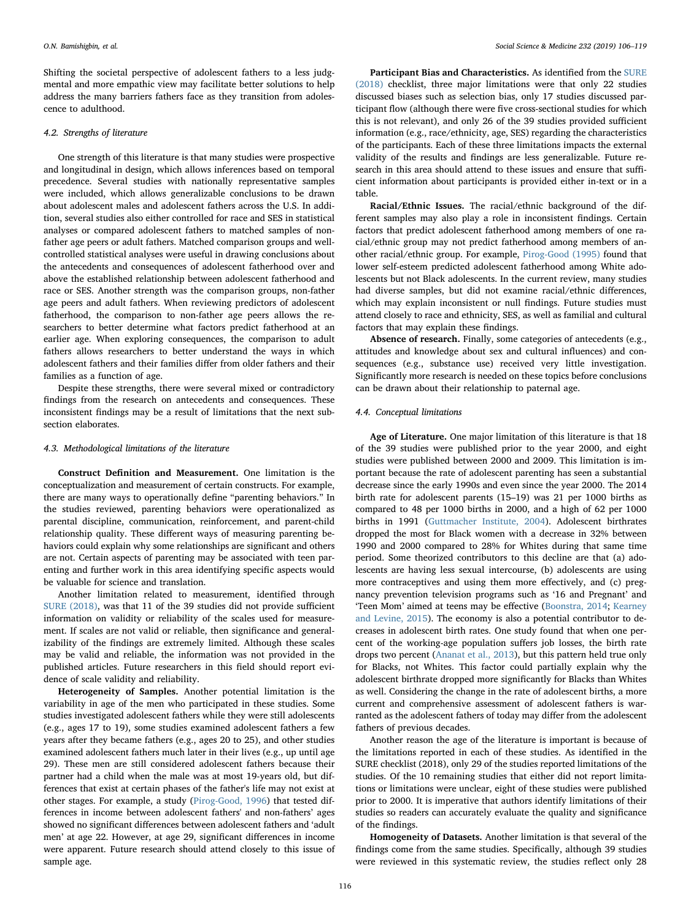Shifting the societal perspective of adolescent fathers to a less judgmental and more empathic view may facilitate better solutions to help address the many barriers fathers face as they transition from adolescence to adulthood.

#### 4.2. Strengths of literature

One strength of this literature is that many studies were prospective and longitudinal in design, which allows inferences based on temporal precedence. Several studies with nationally representative samples were included, which allows generalizable conclusions to be drawn about adolescent males and adolescent fathers across the U.S. In addition, several studies also either controlled for race and SES in statistical analyses or compared adolescent fathers to matched samples of nonfather age peers or adult fathers. Matched comparison groups and wellcontrolled statistical analyses were useful in drawing conclusions about the antecedents and consequences of adolescent fatherhood over and above the established relationship between adolescent fatherhood and race or SES. Another strength was the comparison groups, non-father age peers and adult fathers. When reviewing predictors of adolescent fatherhood, the comparison to non-father age peers allows the researchers to better determine what factors predict fatherhood at an earlier age. When exploring consequences, the comparison to adult fathers allows researchers to better understand the ways in which adolescent fathers and their families differ from older fathers and their families as a function of age.

Despite these strengths, there were several mixed or contradictory findings from the research on antecedents and consequences. These inconsistent findings may be a result of limitations that the next subsection elaborates.

## 4.3. Methodological limitations of the literature

Construct Definition and Measurement. One limitation is the conceptualization and measurement of certain constructs. For example, there are many ways to operationally define "parenting behaviors." In the studies reviewed, parenting behaviors were operationalized as parental discipline, communication, reinforcement, and parent-child relationship quality. These different ways of measuring parenting behaviors could explain why some relationships are significant and others are not. Certain aspects of parenting may be associated with teen parenting and further work in this area identifying specific aspects would be valuable for science and translation.

Another limitation related to measurement, identified through [SURE \(2018\)](#page-13-19), was that 11 of the 39 studies did not provide sufficient information on validity or reliability of the scales used for measurement. If scales are not valid or reliable, then significance and generalizability of the findings are extremely limited. Although these scales may be valid and reliable, the information was not provided in the published articles. Future researchers in this field should report evidence of scale validity and reliability.

Heterogeneity of Samples. Another potential limitation is the variability in age of the men who participated in these studies. Some studies investigated adolescent fathers while they were still adolescents (e.g., ages 17 to 19), some studies examined adolescent fathers a few years after they became fathers (e.g., ages 20 to 25), and other studies examined adolescent fathers much later in their lives (e.g., up until age 29). These men are still considered adolescent fathers because their partner had a child when the male was at most 19-years old, but differences that exist at certain phases of the father's life may not exist at other stages. For example, a study ([Pirog-Good, 1996\)](#page-13-35) that tested differences in income between adolescent fathers' and non-fathers' ages showed no significant differences between adolescent fathers and 'adult men' at age 22. However, at age 29, significant differences in income were apparent. Future research should attend closely to this issue of sample age.

Participant Bias and Characteristics. As identified from the [SURE](#page-13-19) [\(2018\)](#page-13-19) checklist, three major limitations were that only 22 studies discussed biases such as selection bias, only 17 studies discussed participant flow (although there were five cross-sectional studies for which this is not relevant), and only 26 of the 39 studies provided sufficient information (e.g., race/ethnicity, age, SES) regarding the characteristics of the participants. Each of these three limitations impacts the external validity of the results and findings are less generalizable. Future research in this area should attend to these issues and ensure that sufficient information about participants is provided either in-text or in a table.

Racial/Ethnic Issues. The racial/ethnic background of the different samples may also play a role in inconsistent findings. Certain factors that predict adolescent fatherhood among members of one racial/ethnic group may not predict fatherhood among members of another racial/ethnic group. For example, [Pirog-Good \(1995\)](#page-13-29) found that lower self-esteem predicted adolescent fatherhood among White adolescents but not Black adolescents. In the current review, many studies had diverse samples, but did not examine racial/ethnic differences, which may explain inconsistent or null findings. Future studies must attend closely to race and ethnicity, SES, as well as familial and cultural factors that may explain these findings.

Absence of research. Finally, some categories of antecedents (e.g., attitudes and knowledge about sex and cultural influences) and consequences (e.g., substance use) received very little investigation. Significantly more research is needed on these topics before conclusions can be drawn about their relationship to paternal age.

### 4.4. Conceptual limitations

Age of Literature. One major limitation of this literature is that 18 of the 39 studies were published prior to the year 2000, and eight studies were published between 2000 and 2009. This limitation is important because the rate of adolescent parenting has seen a substantial decrease since the early 1990s and even since the year 2000. The 2014 birth rate for adolescent parents (15–19) was 21 per 1000 births as compared to 48 per 1000 births in 2000, and a high of 62 per 1000 births in 1991 [\(Guttmacher Institute, 2004](#page-12-26)). Adolescent birthrates dropped the most for Black women with a decrease in 32% between 1990 and 2000 compared to 28% for Whites during that same time period. Some theorized contributors to this decline are that (a) adolescents are having less sexual intercourse, (b) adolescents are using more contraceptives and using them more effectively, and (c) pregnancy prevention television programs such as '16 and Pregnant' and 'Teen Mom' aimed at teens may be effective [\(Boonstra, 2014;](#page-12-27) [Kearney](#page-13-39) [and Levine, 2015\)](#page-13-39). The economy is also a potential contributor to decreases in adolescent birth rates. One study found that when one percent of the working-age population suffers job losses, the birth rate drops two percent ([Ananat et al., 2013](#page-12-28)), but this pattern held true only for Blacks, not Whites. This factor could partially explain why the adolescent birthrate dropped more significantly for Blacks than Whites as well. Considering the change in the rate of adolescent births, a more current and comprehensive assessment of adolescent fathers is warranted as the adolescent fathers of today may differ from the adolescent fathers of previous decades.

Another reason the age of the literature is important is because of the limitations reported in each of these studies. As identified in the SURE checklist (2018), only 29 of the studies reported limitations of the studies. Of the 10 remaining studies that either did not report limitations or limitations were unclear, eight of these studies were published prior to 2000. It is imperative that authors identify limitations of their studies so readers can accurately evaluate the quality and significance of the findings.

Homogeneity of Datasets. Another limitation is that several of the findings come from the same studies. Specifically, although 39 studies were reviewed in this systematic review, the studies reflect only 28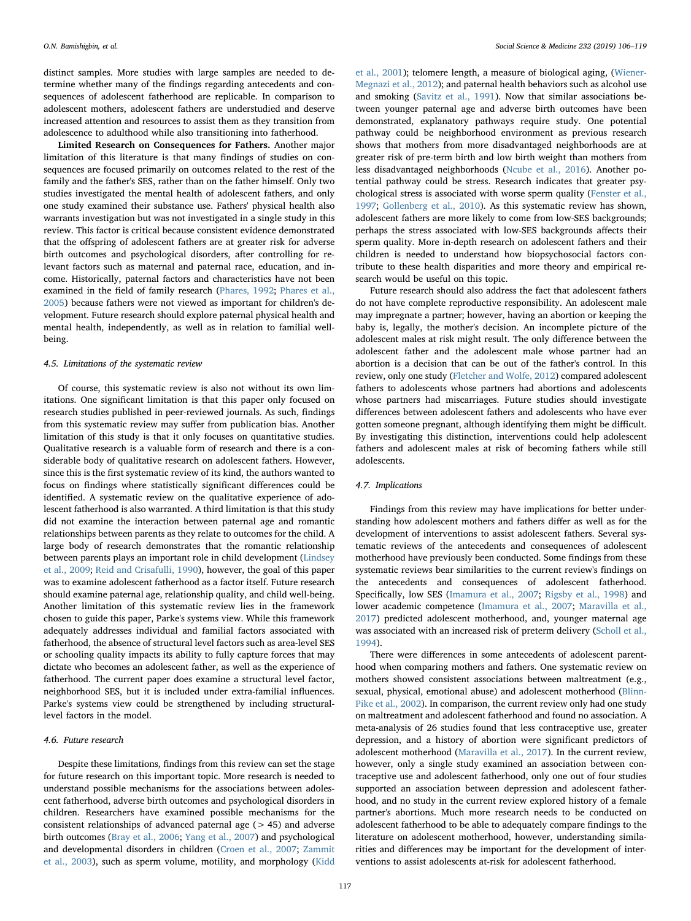distinct samples. More studies with large samples are needed to determine whether many of the findings regarding antecedents and consequences of adolescent fatherhood are replicable. In comparison to adolescent mothers, adolescent fathers are understudied and deserve increased attention and resources to assist them as they transition from adolescence to adulthood while also transitioning into fatherhood.

Limited Research on Consequences for Fathers. Another major limitation of this literature is that many findings of studies on consequences are focused primarily on outcomes related to the rest of the family and the father's SES, rather than on the father himself. Only two studies investigated the mental health of adolescent fathers, and only one study examined their substance use. Fathers' physical health also warrants investigation but was not investigated in a single study in this review. This factor is critical because consistent evidence demonstrated that the offspring of adolescent fathers are at greater risk for adverse birth outcomes and psychological disorders, after controlling for relevant factors such as maternal and paternal race, education, and income. Historically, paternal factors and characteristics have not been examined in the field of family research [\(Phares, 1992](#page-13-6); [Phares et al.,](#page-13-40) [2005\)](#page-13-40) because fathers were not viewed as important for children's development. Future research should explore paternal physical health and mental health, independently, as well as in relation to familial wellbeing.

## 4.5. Limitations of the systematic review

Of course, this systematic review is also not without its own limitations. One significant limitation is that this paper only focused on research studies published in peer-reviewed journals. As such, findings from this systematic review may suffer from publication bias. Another limitation of this study is that it only focuses on quantitative studies. Qualitative research is a valuable form of research and there is a considerable body of qualitative research on adolescent fathers. However, since this is the first systematic review of its kind, the authors wanted to focus on findings where statistically significant differences could be identified. A systematic review on the qualitative experience of adolescent fatherhood is also warranted. A third limitation is that this study did not examine the interaction between paternal age and romantic relationships between parents as they relate to outcomes for the child. A large body of research demonstrates that the romantic relationship between parents plays an important role in child development ([Lindsey](#page-13-41) [et al., 2009;](#page-13-41) [Reid and Crisafulli, 1990\)](#page-13-42), however, the goal of this paper was to examine adolescent fatherhood as a factor itself. Future research should examine paternal age, relationship quality, and child well-being. Another limitation of this systematic review lies in the framework chosen to guide this paper, Parke's systems view. While this framework adequately addresses individual and familial factors associated with fatherhood, the absence of structural level factors such as area-level SES or schooling quality impacts its ability to fully capture forces that may dictate who becomes an adolescent father, as well as the experience of fatherhood. The current paper does examine a structural level factor, neighborhood SES, but it is included under extra-familial influences. Parke's systems view could be strengthened by including structurallevel factors in the model.

## 4.6. Future research

Despite these limitations, findings from this review can set the stage for future research on this important topic. More research is needed to understand possible mechanisms for the associations between adolescent fatherhood, adverse birth outcomes and psychological disorders in children. Researchers have examined possible mechanisms for the consistent relationships of advanced paternal age  $(> 45)$  and adverse birth outcomes [\(Bray et al., 2006;](#page-12-29) [Yang et al., 2007\)](#page-13-43) and psychological and developmental disorders in children ([Croen et al., 2007;](#page-12-30) [Zammit](#page-13-44) et [al., 2003](#page-13-44)), such as sperm volume, motility, and morphology [\(Kidd](#page-13-45)

[et al., 2001\)](#page-13-45); telomere length, a measure of biological aging, ([Wiener-](#page-13-46)[Megnazi et al., 2012\)](#page-13-46); and paternal health behaviors such as alcohol use and smoking [\(Savitz et al., 1991\)](#page-13-47). Now that similar associations between younger paternal age and adverse birth outcomes have been demonstrated, explanatory pathways require study. One potential pathway could be neighborhood environment as previous research shows that mothers from more disadvantaged neighborhoods are at greater risk of pre-term birth and low birth weight than mothers from less disadvantaged neighborhoods [\(Ncube et al., 2016](#page-13-48)). Another potential pathway could be stress. Research indicates that greater psychological stress is associated with worse sperm quality [\(Fenster et al.,](#page-12-31) [1997;](#page-12-31) [Gollenberg et al., 2010\)](#page-12-32). As this systematic review has shown, adolescent fathers are more likely to come from low-SES backgrounds; perhaps the stress associated with low-SES backgrounds affects their sperm quality. More in-depth research on adolescent fathers and their children is needed to understand how biopsychosocial factors contribute to these health disparities and more theory and empirical research would be useful on this topic.

Future research should also address the fact that adolescent fathers do not have complete reproductive responsibility. An adolescent male may impregnate a partner; however, having an abortion or keeping the baby is, legally, the mother's decision. An incomplete picture of the adolescent males at risk might result. The only difference between the adolescent father and the adolescent male whose partner had an abortion is a decision that can be out of the father's control. In this review, only one study ([Fletcher and Wolfe, 2012\)](#page-12-13) compared adolescent fathers to adolescents whose partners had abortions and adolescents whose partners had miscarriages. Future studies should investigate differences between adolescent fathers and adolescents who have ever gotten someone pregnant, although identifying them might be difficult. By investigating this distinction, interventions could help adolescent fathers and adolescent males at risk of becoming fathers while still adolescents.

## 4.7. Implications

Findings from this review may have implications for better understanding how adolescent mothers and fathers differ as well as for the development of interventions to assist adolescent fathers. Several systematic reviews of the antecedents and consequences of adolescent motherhood have previously been conducted. Some findings from these systematic reviews bear similarities to the current review's findings on the antecedents and consequences of adolescent fatherhood. Specifically, low SES ([Imamura et al., 2007](#page-13-1); [Rigsby et al., 1998](#page-13-0)) and lower academic competence [\(Imamura et al., 2007;](#page-13-1) [Maravilla et al.,](#page-13-49) [2017\)](#page-13-49) predicted adolescent motherhood, and, younger maternal age was associated with an increased risk of preterm delivery [\(Scholl et al.,](#page-13-2) [1994\)](#page-13-2).

There were differences in some antecedents of adolescent parenthood when comparing mothers and fathers. One systematic review on mothers showed consistent associations between maltreatment (e.g., sexual, physical, emotional abuse) and adolescent motherhood [\(Blinn-](#page-12-0)[Pike et al., 2002](#page-12-0)). In comparison, the current review only had one study on maltreatment and adolescent fatherhood and found no association. A meta-analysis of 26 studies found that less contraceptive use, greater depression, and a history of abortion were significant predictors of adolescent motherhood [\(Maravilla et al., 2017](#page-13-49)). In the current review, however, only a single study examined an association between contraceptive use and adolescent fatherhood, only one out of four studies supported an association between depression and adolescent fatherhood, and no study in the current review explored history of a female partner's abortions. Much more research needs to be conducted on adolescent fatherhood to be able to adequately compare findings to the literature on adolescent motherhood, however, understanding similarities and differences may be important for the development of interventions to assist adolescents at-risk for adolescent fatherhood.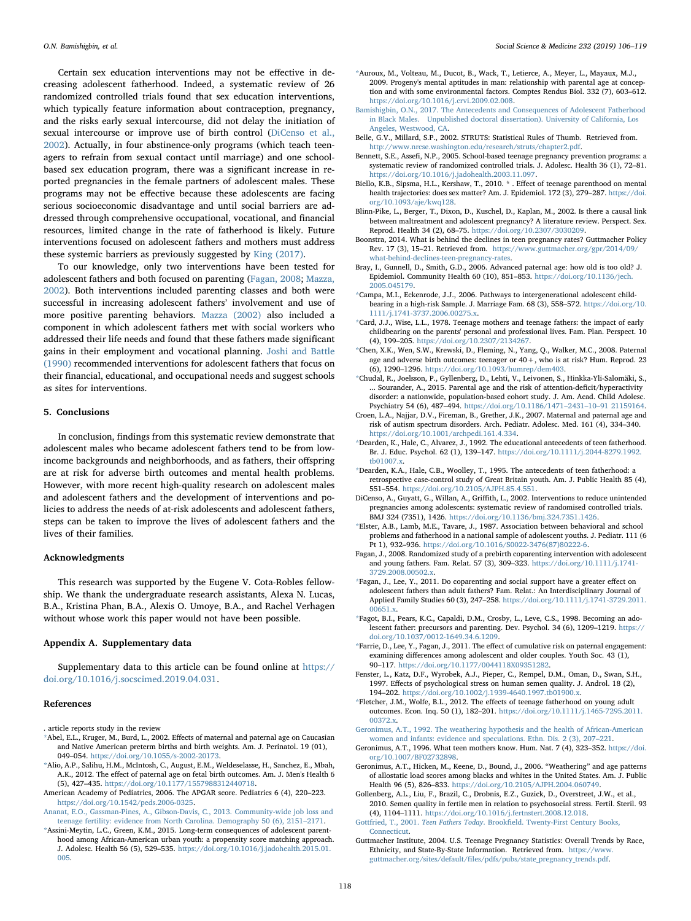Certain sex education interventions may not be effective in decreasing adolescent fatherhood. Indeed, a systematic review of 26 randomized controlled trials found that sex education interventions, which typically feature information about contraception, pregnancy, and the risks early sexual intercourse, did not delay the initiation of sexual intercourse or improve use of birth control ([DiCenso et al.,](#page-12-2) [2002\)](#page-12-2). Actually, in four abstinence-only programs (which teach teenagers to refrain from sexual contact until marriage) and one schoolbased sex education program, there was a significant increase in reported pregnancies in the female partners of adolescent males. These programs may not be effective because these adolescents are facing serious socioeconomic disadvantage and until social barriers are addressed through comprehensive occupational, vocational, and financial resources, limited change in the rate of fatherhood is likely. Future interventions focused on adolescent fathers and mothers must address these systemic barriers as previously suggested by [King \(2017\).](#page-13-50)

To our knowledge, only two interventions have been tested for adolescent fathers and both focused on parenting [\(Fagan, 2008;](#page-12-33) [Mazza,](#page-13-51) [2002\)](#page-13-51). Both interventions included parenting classes and both were successful in increasing adolescent fathers' involvement and use of more positive parenting behaviors. [Mazza \(2002\)](#page-13-51) also included a component in which adolescent fathers met with social workers who addressed their life needs and found that these fathers made significant gains in their employment and vocational planning. [Joshi and Battle](#page-13-38) [\(1990\)](#page-13-38) recommended interventions for adolescent fathers that focus on their financial, educational, and occupational needs and suggest schools as sites for interventions.

#### 5. Conclusions

In conclusion, findings from this systematic review demonstrate that adolescent males who became adolescent fathers tend to be from lowincome backgrounds and neighborhoods, and as fathers, their offspring are at risk for adverse birth outcomes and mental health problems. However, with more recent high-quality research on adolescent males and adolescent fathers and the development of interventions and policies to address the needs of at-risk adolescents and adolescent fathers, steps can be taken to improve the lives of adolescent fathers and the lives of their families.

#### Acknowledgments

This research was supported by the Eugene V. Cota-Robles fellowship. We thank the undergraduate research assistants, Alexa N. Lucas, B.A., Kristina Phan, B.A., Alexis O. Umoye, B.A., and Rachel Verhagen without whose work this paper would not have been possible.

#### Appendix A. Supplementary data

Supplementary data to this article can be found online at [https://](https://doi.org/10.1016/j.socscimed.2019.04.031) [doi.org/10.1016/j.socscimed.2019.04.031](https://doi.org/10.1016/j.socscimed.2019.04.031).

#### References

<span id="page-12-34"></span>. article reports study in the review

- <span id="page-12-7"></span>[\\*A](#page-12-34)bel, E.L., Kruger, M., Burd, L., 2002. Effects of maternal and paternal age on Caucasian and Native American preterm births and birth weights. Am. J. Perinatol. 19 (01), 049–054. [https://doi.org/10.1055/s-2002-20173.](https://doi.org/10.1055/s-2002-20173)
- <span id="page-12-17"></span>[\\*A](#page-12-34)lio, A.P., Salihu, H.M., McIntosh, C., August, E.M., Weldeselasse, H., Sanchez, E., Mbah, A.K., 2012. The effect of paternal age on fetal birth outcomes. Am. J. Men's Health 6 (5), 427–435. [https://doi.org/10.1177/1557988312440718.](https://doi.org/10.1177/1557988312440718)
- <span id="page-12-18"></span>American Academy of Pediatrics, 2006. The APGAR score. Pediatrics 6 (4), 220–223. [https://doi.org/10.1542/peds.2006-0325.](https://doi.org/10.1542/peds.2006-0325)
- <span id="page-12-28"></span>[Ananat, E.O., Gassman-Pines, A., Gibson-Davis, C., 2013. Community-wide job loss and](http://refhub.elsevier.com/S0277-9536(19)30231-X/sref4) [teenage fertility: evidence from North Carolina. Demography 50 \(6\), 2151](http://refhub.elsevier.com/S0277-9536(19)30231-X/sref4)–2171.
- <span id="page-12-15"></span>[\\*A](#page-12-34)ssini-Meytin, L.C., Green, K.M., 2015. Long-term consequences of adolescent parenthood among African-American urban youth: a propensity score matching approach. J. Adolesc. Health 56 (5), 529–535. [https://doi.org/10.1016/j.jadohealth.2015.01.](https://doi.org/10.1016/j.jadohealth.2015.01.005) [005](https://doi.org/10.1016/j.jadohealth.2015.01.005).
- <span id="page-12-20"></span>[\\*A](#page-12-34)uroux, M., Volteau, M., Ducot, B., Wack, T., Letierce, A., Meyer, L., Mayaux, M.J., 2009. Progeny's mental aptitudes in man: relationship with parental age at conception and with some environmental factors. Comptes Rendus Biol. 332 (7), 603–612. <https://doi.org/10.1016/j.crvi.2009.02.008>.
- <span id="page-12-3"></span>[Bamishigbin, O.N., 2017. The Antecedents and Consequences of Adolescent Fatherhood](http://refhub.elsevier.com/S0277-9536(19)30231-X/sref7) [in Black Males. Unpublished doctoral dissertation\). University of California, Los](http://refhub.elsevier.com/S0277-9536(19)30231-X/sref7) [Angeles, Westwood, CA.](http://refhub.elsevier.com/S0277-9536(19)30231-X/sref7)
- <span id="page-12-4"></span>Belle, G.V., Millard, S.P., 2002. STRUTS: Statistical Rules of Thumb. Retrieved from. [http://www.nrcse.washington.edu/research/struts/chapter2.pdf.](http://www.nrcse.washington.edu/research/struts/chapter2.pdf)
- <span id="page-12-1"></span>Bennett, S.E., Assefi, N.P., 2005. School-based teenage pregnancy prevention programs: a systematic review of randomized controlled trials. J. Adolesc. Health 36 (1), 72–81. [https://doi.org/10.1016/j.jadohealth.2003.11.097.](https://doi.org/10.1016/j.jadohealth.2003.11.097)
- <span id="page-12-12"></span>Biello, K.B., Sipsma, H.L., Kershaw, T., 2010. \* . Effect of teenage parenthood on mental health trajectories: does sex matter? Am. J. Epidemiol. 172 (3), 279–287. [https://doi.](https://doi.org/10.1093/aje/kwq128) [org/10.1093/aje/kwq128](https://doi.org/10.1093/aje/kwq128).
- <span id="page-12-0"></span>Blinn-Pike, L., Berger, T., Dixon, D., Kuschel, D., Kaplan, M., 2002. Is there a causal link between maltreatment and adolescent pregnancy? A literature review. Perspect. Sex. Reprod. Health 34 (2), 68–75. [https://doi.org/10.2307/3030209.](https://doi.org/10.2307/3030209)
- <span id="page-12-27"></span>Boonstra, 2014. What is behind the declines in teen pregnancy rates? Guttmacher Policy Rev. 17 (3), 15–21. Retrieved from. [https://www.guttmacher.org/gpr/2014/09/](https://www.guttmacher.org/gpr/2014/09/what-behind-declines-teen-pregnancy-rates) [what-behind-declines-teen-pregnancy-rates](https://www.guttmacher.org/gpr/2014/09/what-behind-declines-teen-pregnancy-rates).
- <span id="page-12-29"></span>Bray, I., Gunnell, D., Smith, G.D., 2006. Advanced paternal age: how old is too old? J. Epidemiol. Community Health 60 (10), 851–853. [https://doi.org/10.1136/jech.](https://doi.org/10.1136/jech.2005.045179) [2005.045179](https://doi.org/10.1136/jech.2005.045179).
- <span id="page-12-14"></span>[\\*C](#page-12-34)ampa, M.I., Eckenrode, J.J., 2006. Pathways to intergenerational adolescent childbearing in a high-risk Sample. J. Marriage Fam. 68 (3), 558–572. [https://doi.org/10.](https://doi.org/10.1111/j.1741-3737.2006.00275.x) [1111/j.1741-3737.2006.00275.x](https://doi.org/10.1111/j.1741-3737.2006.00275.x).
- <span id="page-12-8"></span>[\\*C](#page-12-34)ard, J.J., Wise, L.L., 1978. Teenage mothers and teenage fathers: the impact of early childbearing on the parents' personal and professional lives. Fam. Plan. Perspect. 10 (4), 199–205. <https://doi.org/10.2307/2134267>.
- <span id="page-12-6"></span>[\\*C](#page-12-34)hen, X.K., Wen, S.W., Krewski, D., Fleming, N., Yang, Q., Walker, M.C., 2008. Paternal age and adverse birth outcomes: teenager or  $40 +$ , who is at risk? Hum. Reprod. 23 (6), 1290–1296. <https://doi.org/10.1093/humrep/dem403>.
- <span id="page-12-19"></span>[\\*C](#page-12-34)hudal, R., Joelsson, P., Gyllenberg, D., Lehti, V., Leivonen, S., Hinkka-Yli-Salomäki, S., ... Sourander, A., 2015. Parental age and the risk of attention-deficit/hyperactivity disorder: a nationwide, population-based cohort study. J. Am. Acad. Child Adolesc. Psychiatry 54 (6), 487–494. [https://doi.org/10.1186/1471](https://doi.org/10.1186/147124311091 21159164)–2431–10–91 21159164.
- <span id="page-12-30"></span>Croen, L.A., Najjar, D.V., Fireman, B., Grether, J.K., 2007. Maternal and paternal age and risk of autism spectrum disorders. Arch. Pediatr. Adolesc. Med. 161 (4), 334–340. <https://doi.org/10.1001/archpedi.161.4.334>.
- <span id="page-12-16"></span>[\\*D](#page-12-34)earden, K., Hale, C., Alvarez, J., 1992. The educational antecedents of teen fatherhood. Br. J. Educ. Psychol. 62 (1), 139–147. [https://doi.org/10.1111/j.2044-8279.1992.](https://doi.org/10.1111/j.2044-8279.1992.tb01007.x) [tb01007.x](https://doi.org/10.1111/j.2044-8279.1992.tb01007.x).
- <span id="page-12-10"></span>[\\*D](#page-12-34)earden, K.A., Hale, C.B., Woolley, T., 1995. The antecedents of teen fatherhood: a retrospective case-control study of Great Britain youth. Am. J. Public Health 85 (4), 551–554. [https://doi.org/10.2105/AJPH.85.4.551.](https://doi.org/10.2105/AJPH.85.4.551)
- <span id="page-12-2"></span>DiCenso, A., Guyatt, G., Willan, A., Griffith, L., 2002. Interventions to reduce unintended pregnancies among adolescents: systematic review of randomised controlled trials. BMJ 324 (7351), 1426. [https://doi.org/10.1136/bmj.324.7351.1426.](https://doi.org/10.1136/bmj.324.7351.1426)
- <span id="page-12-9"></span>[\\*E](#page-12-34)lster, A.B., Lamb, M.E., Tavare, J., 1987. Association between behavioral and school problems and fatherhood in a national sample of adolescent youths. J. Pediatr. 111 (6 Pt 1), 932–936. [https://doi.org/10.1016/S0022-3476\(87\)80222-6](https://doi.org/10.1016/S0022-3476(87)80222-6).
- <span id="page-12-33"></span>Fagan, J., 2008. Randomized study of a prebirth coparenting intervention with adolescent and young fathers. Fam. Relat. 57 (3), 309–323. [https://doi.org/10.1111/j.1741-](https://doi.org/10.1111/j.1741-3729.2008.00502.x) 3729.2008.00502.x
- <span id="page-12-21"></span>[\\*F](#page-12-34)agan, J., Lee, Y., 2011. Do coparenting and social support have a greater effect on adolescent fathers than adult fathers? Fam. Relat.: An Interdisciplinary Journal of Applied Family Studies 60 (3), 247–258. [https://doi.org/10.1111/j.1741-3729.2011.](https://doi.org/10.1111/j.1741-3729.2011.00651.x) [00651.x.](https://doi.org/10.1111/j.1741-3729.2011.00651.x)
- <span id="page-12-5"></span>[\\*F](#page-12-34)agot, B.I., Pears, K.C., Capaldi, D.M., Crosby, L., Leve, C.S., 1998. Becoming an adolescent father: precursors and parenting. Dev. Psychol. 34 (6), 1209–1219. [https://](https://doi.org/10.1037/0012-1649.34.6.1209) [doi.org/10.1037/0012-1649.34.6.1209](https://doi.org/10.1037/0012-1649.34.6.1209).
- <span id="page-12-11"></span>[\\*F](#page-12-34)arrie, D., Lee, Y., Fagan, J., 2011. The effect of cumulative risk on paternal engagement: examining differences among adolescent and older couples. Youth Soc. 43 (1), 90–117. <https://doi.org/10.1177/0044118X09351282>.
- <span id="page-12-31"></span>Fenster, L., Katz, D.F., Wyrobek, A.J., Pieper, C., Rempel, D.M., Oman, D., Swan, S.H., 1997. Effects of psychological stress on human semen quality. J. Androl. 18 (2), 194–202. [https://doi.org/10.1002/j.1939-4640.1997.tb01900.x.](https://doi.org/10.1002/j.1939-4640.1997.tb01900.x)
- <span id="page-12-13"></span>[\\*F](#page-12-34)letcher, J.M., Wolfe, B.L., 2012. The effects of teenage fatherhood on young adult outcomes. Econ. Inq. 50 (1), 182–201. [https://doi.org/10.1111/j.1465-7295.2011.](https://doi.org/10.1111/j.1465-7295.2011.00372.x) [00372.x.](https://doi.org/10.1111/j.1465-7295.2011.00372.x)
- <span id="page-12-22"></span>[Geronimus, A.T., 1992. The weathering hypothesis and the health of African-American](http://refhub.elsevier.com/S0277-9536(19)30231-X/sref29) [women and infants: evidence and speculations. Ethn. Dis. 2 \(3\), 207](http://refhub.elsevier.com/S0277-9536(19)30231-X/sref29)–221.
- <span id="page-12-23"></span>Geronimus, A.T., 1996. What teen mothers know. Hum. Nat. 7 (4), 323–352. [https://doi.](https://doi.org/10.1007/BF02732898) [org/10.1007/BF02732898](https://doi.org/10.1007/BF02732898).
- <span id="page-12-24"></span>Geronimus, A.T., Hicken, M., Keene, D., Bound, J., 2006. "Weathering" and age patterns of allostatic load scores among blacks and whites in the United States. Am. J. Public Health 96 (5), 826–833. [https://doi.org/10.2105/AJPH.2004.060749.](https://doi.org/10.2105/AJPH.2004.060749)
- <span id="page-12-32"></span>Gollenberg, A.L., Liu, F., Brazil, C., Drobnis, E.Z., Guzick, D., Overstreet, J.W., et al., 2010. Semen quality in fertile men in relation to psychosocial stress. Fertil. Steril. 93 (4), 1104–1111. [https://doi.org/10.1016/j.fertnstert.2008.12.018.](https://doi.org/10.1016/j.fertnstert.2008.12.018)
- <span id="page-12-25"></span>Gottfried, T., 2001. Teen Fathers Today. Brookfi[eld. Twenty-First Century Books,](http://refhub.elsevier.com/S0277-9536(19)30231-X/sref33) [Connecticut](http://refhub.elsevier.com/S0277-9536(19)30231-X/sref33).
- <span id="page-12-26"></span>Guttmacher Institute, 2004. U.S. Teenage Pregnancy Statistics: Overall Trends by Race, Ethnicity, and State-By-State Information. Retrieved from. [https://www.](https://www.guttmacher.org/sites/default/files/pdfs/pubs/state_pregnancy_trends.pdf) guttmacher.org/sites/default/fi[les/pdfs/pubs/state\\_pregnancy\\_trends.pdf.](https://www.guttmacher.org/sites/default/files/pdfs/pubs/state_pregnancy_trends.pdf)